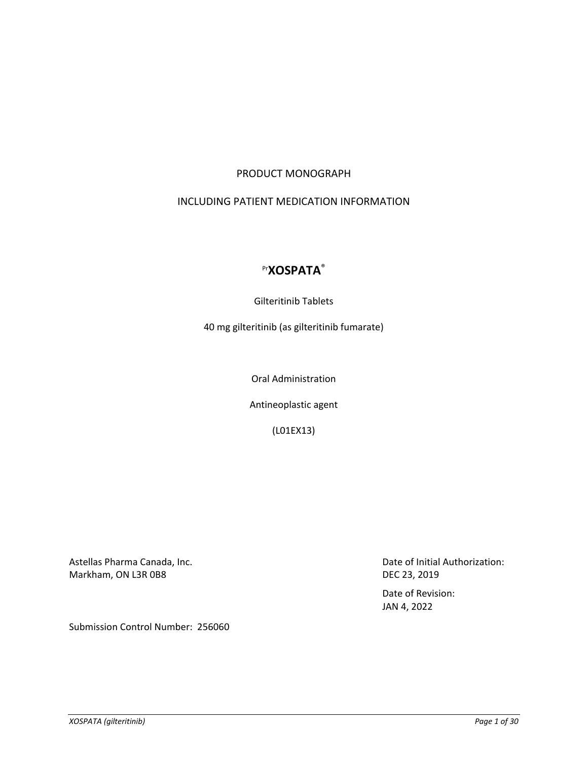# PRODUCT MONOGRAPH

## INCLUDING PATIENT MEDICATION INFORMATION

# Pr**XOSPATA**®

# Gilteritinib Tablets

40 mg gilteritinib (as gilteritinib fumarate)

Oral Administration

Antineoplastic agent

(L01EX13)

Astellas Pharma Canada, Inc. Markham, ON L3R 0B8

Date of Initial Authorization: DEC 23, 2019

Date of Revision: JAN 4, 2022

Submission Control Number: 256060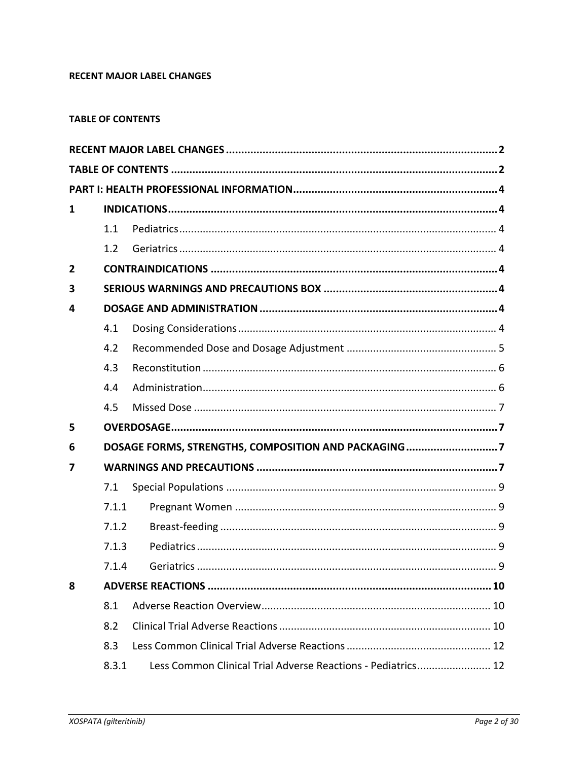# <span id="page-1-0"></span>**RECENT MAJOR LABEL CHANGES**

# <span id="page-1-1"></span>**TABLE OF CONTENTS**

| 1              |       |                                                              |  |
|----------------|-------|--------------------------------------------------------------|--|
|                | 1.1   |                                                              |  |
|                | 1.2   |                                                              |  |
| $\overline{2}$ |       |                                                              |  |
| 3              |       |                                                              |  |
| 4              |       |                                                              |  |
|                | 4.1   |                                                              |  |
|                | 4.2   |                                                              |  |
|                | 4.3   |                                                              |  |
|                | 4.4   |                                                              |  |
|                | 4.5   |                                                              |  |
| 5              |       |                                                              |  |
| 6              |       | DOSAGE FORMS, STRENGTHS, COMPOSITION AND PACKAGING7          |  |
| 7              |       |                                                              |  |
|                | 7.1   |                                                              |  |
|                | 7.1.1 |                                                              |  |
|                | 7.1.2 |                                                              |  |
|                | 7.1.3 |                                                              |  |
|                | 7.1.4 |                                                              |  |
| 8              |       |                                                              |  |
|                | 8.1   |                                                              |  |
|                | 8.2   |                                                              |  |
|                | 8.3   |                                                              |  |
|                | 8.3.1 | Less Common Clinical Trial Adverse Reactions - Pediatrics 12 |  |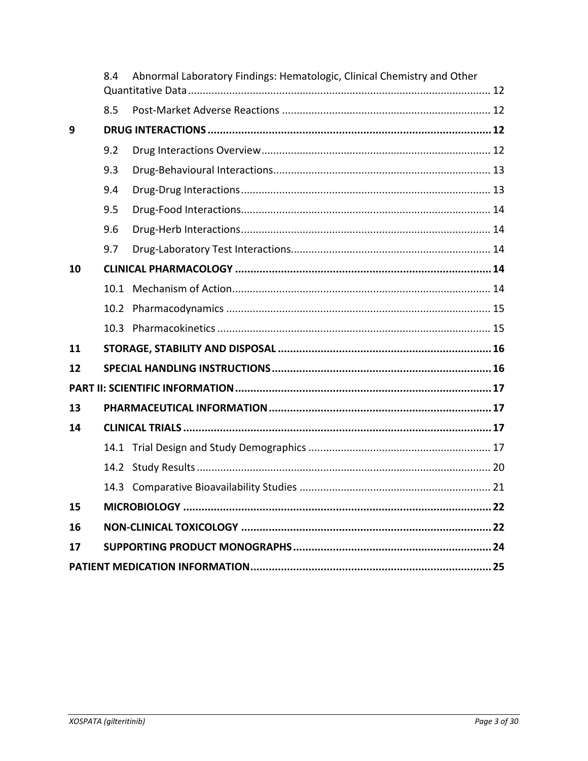|    | 8.4 | Abnormal Laboratory Findings: Hematologic, Clinical Chemistry and Other |  |  |  |
|----|-----|-------------------------------------------------------------------------|--|--|--|
|    | 8.5 |                                                                         |  |  |  |
| 9  |     |                                                                         |  |  |  |
|    | 9.2 |                                                                         |  |  |  |
|    | 9.3 |                                                                         |  |  |  |
|    | 9.4 |                                                                         |  |  |  |
|    | 9.5 |                                                                         |  |  |  |
|    | 9.6 |                                                                         |  |  |  |
|    | 9.7 |                                                                         |  |  |  |
| 10 |     |                                                                         |  |  |  |
|    |     |                                                                         |  |  |  |
|    |     |                                                                         |  |  |  |
|    |     |                                                                         |  |  |  |
| 11 |     |                                                                         |  |  |  |
| 12 |     |                                                                         |  |  |  |
|    |     |                                                                         |  |  |  |
| 13 |     |                                                                         |  |  |  |
| 14 |     |                                                                         |  |  |  |
|    |     |                                                                         |  |  |  |
|    |     |                                                                         |  |  |  |
|    |     |                                                                         |  |  |  |
| 15 |     |                                                                         |  |  |  |
| 16 |     |                                                                         |  |  |  |
| 17 |     |                                                                         |  |  |  |
|    |     |                                                                         |  |  |  |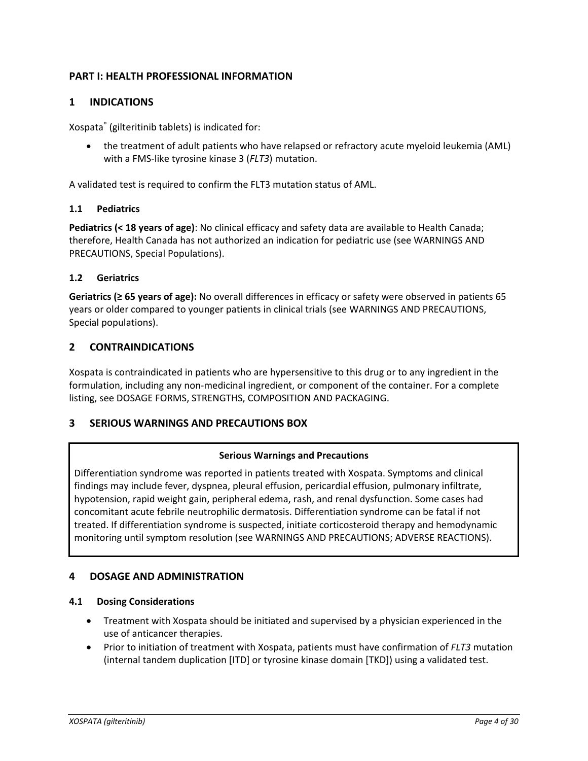# <span id="page-3-0"></span>**PART I: HEALTH PROFESSIONAL INFORMATION**

# <span id="page-3-1"></span>**1 INDICATIONS**

Xospata® (gilteritinib tablets) is indicated for:

• the treatment of adult patients who have relapsed or refractory acute myeloid leukemia (AML) with a FMS-like tyrosine kinase 3 (*FLT3*) mutation.

<span id="page-3-2"></span>A validated test is required to confirm the FLT3 mutation status of AML.

## **1.1 Pediatrics**

**Pediatrics (< 18 years of age)**: No clinical efficacy and safety data are available to Health Canada; therefore, Health Canada has not authorized an indication for pediatric use (see WARNINGS AND PRECAUTIONS, Special Populations).

## <span id="page-3-3"></span>**1.2 Geriatrics**

**Geriatrics (≥ 65 years of age):** No overall differences in efficacy or safety were observed in patients 65 years or older compared to younger patients in clinical trials (see WARNINGS AND PRECAUTIONS, Special populations).

## <span id="page-3-4"></span>**2 CONTRAINDICATIONS**

Xospata is contraindicated in patients who are hypersensitive to this drug or to any ingredient in the formulation, including any non-medicinal ingredient, or component of the container. For a complete listing, see DOSAGE FORMS, STRENGTHS, COMPOSITION AND PACKAGING.

# <span id="page-3-5"></span>**3 SERIOUS WARNINGS AND PRECAUTIONS BOX**

### **Serious Warnings and Precautions**

Differentiation syndrome was reported in patients treated with Xospata. Symptoms and clinical findings may include fever, dyspnea, pleural effusion, pericardial effusion, pulmonary infiltrate, hypotension, rapid weight gain, peripheral edema, rash, and renal dysfunction. Some cases had concomitant acute febrile neutrophilic dermatosis. Differentiation syndrome can be fatal if not treated. If differentiation syndrome is suspected, initiate corticosteroid therapy and hemodynamic monitoring until symptom resolution (see WARNINGS AND PRECAUTIONS; ADVERSE REACTIONS).

# <span id="page-3-6"></span>**4 DOSAGE AND ADMINISTRATION**

### <span id="page-3-7"></span>**4.1 Dosing Considerations**

- Treatment with Xospata should be initiated and supervised by a physician experienced in the use of anticancer therapies.
- Prior to initiation of treatment with Xospata, patients must have confirmation of *FLT3* mutation (internal tandem duplication [ITD] or tyrosine kinase domain [TKD]) using a validated test.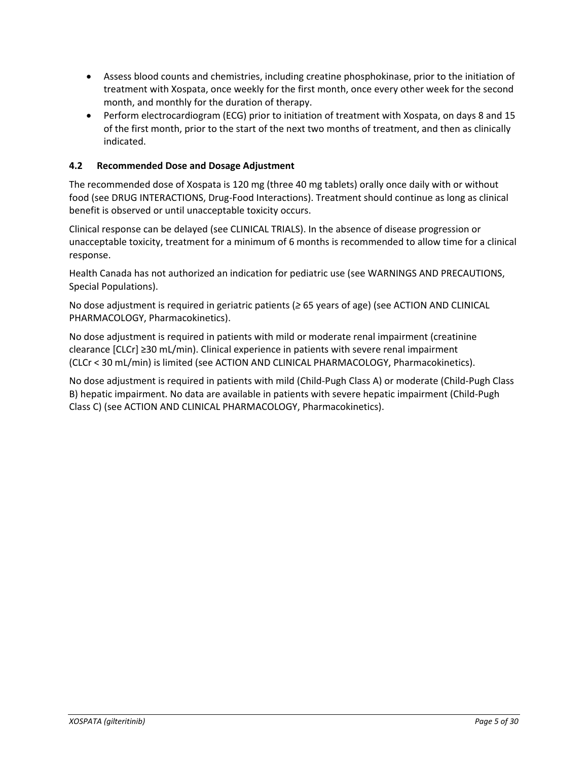- Assess blood counts and chemistries, including creatine phosphokinase, prior to the initiation of treatment with Xospata, once weekly for the first month, once every other week for the second month, and monthly for the duration of therapy.
- Perform electrocardiogram (ECG) prior to initiation of treatment with Xospata, on days 8 and 15 of the first month, prior to the start of the next two months of treatment, and then as clinically indicated.

# <span id="page-4-0"></span>**4.2 Recommended Dose and Dosage Adjustment**

The recommended dose of Xospata is 120 mg (three 40 mg tablets) orally once daily with or without food (see DRUG INTERACTIONS, Drug-Food Interactions). Treatment should continue as long as clinical benefit is observed or until unacceptable toxicity occurs.

Clinical response can be delayed (see CLINICAL TRIALS). In the absence of disease progression or unacceptable toxicity, treatment for a minimum of 6 months is recommended to allow time for a clinical response.

Health Canada has not authorized an indication for pediatric use (see WARNINGS AND PRECAUTIONS, Special Populations).

No dose adjustment is required in geriatric patients (*≥* 65 years of age) (see ACTION AND CLINICAL PHARMACOLOGY, Pharmacokinetics).

No dose adjustment is required in patients with mild or moderate renal impairment (creatinine clearance [CLCr] ≥30 mL/min). Clinical experience in patients with severe renal impairment (CLCr < 30 mL/min) is limited (see ACTION AND CLINICAL PHARMACOLOGY, Pharmacokinetics).

No dose adjustment is required in patients with mild (Child-Pugh Class A) or moderate (Child-Pugh Class B) hepatic impairment. No data are available in patients with severe hepatic impairment (Child-Pugh Class C) (see ACTION AND CLINICAL PHARMACOLOGY, Pharmacokinetics).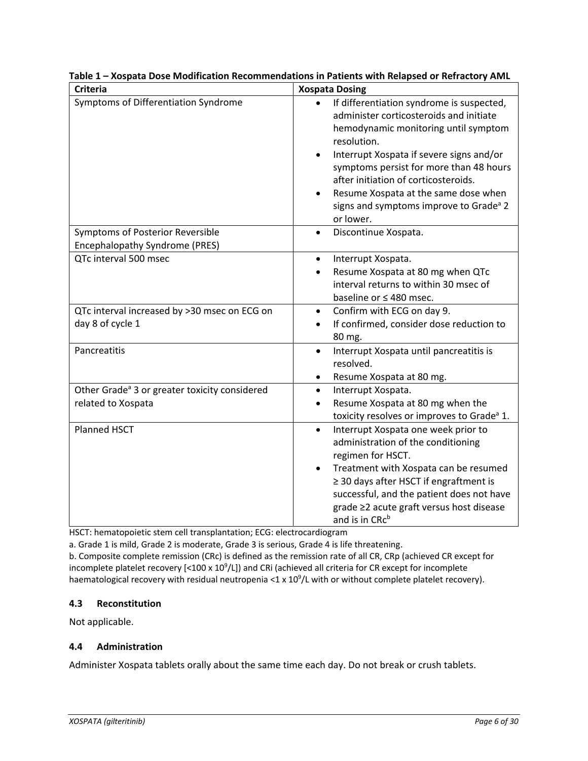| <b>Criteria</b>                                                    | <b>Xospata Dosing</b>                                                                                                                                                                                                                                                                                                                                                                              |  |  |
|--------------------------------------------------------------------|----------------------------------------------------------------------------------------------------------------------------------------------------------------------------------------------------------------------------------------------------------------------------------------------------------------------------------------------------------------------------------------------------|--|--|
| Symptoms of Differentiation Syndrome                               | If differentiation syndrome is suspected,<br>administer corticosteroids and initiate<br>hemodynamic monitoring until symptom<br>resolution.<br>Interrupt Xospata if severe signs and/or<br>$\bullet$<br>symptoms persist for more than 48 hours<br>after initiation of corticosteroids.<br>Resume Xospata at the same dose when<br>signs and symptoms improve to Grade <sup>a</sup> 2<br>or lower. |  |  |
| Symptoms of Posterior Reversible<br>Encephalopathy Syndrome (PRES) | Discontinue Xospata.<br>$\bullet$                                                                                                                                                                                                                                                                                                                                                                  |  |  |
| QTc interval 500 msec                                              | Interrupt Xospata.<br>$\bullet$<br>Resume Xospata at 80 mg when QTc<br>interval returns to within 30 msec of<br>baseline or ≤480 msec.                                                                                                                                                                                                                                                             |  |  |
| QTc interval increased by >30 msec on ECG on                       | Confirm with ECG on day 9.<br>$\bullet$                                                                                                                                                                                                                                                                                                                                                            |  |  |
| day 8 of cycle 1                                                   | If confirmed, consider dose reduction to<br>80 mg.                                                                                                                                                                                                                                                                                                                                                 |  |  |
| Pancreatitis                                                       | Interrupt Xospata until pancreatitis is<br>$\bullet$<br>resolved.<br>Resume Xospata at 80 mg.                                                                                                                                                                                                                                                                                                      |  |  |
| Other Grade <sup>a</sup> 3 or greater toxicity considered          | Interrupt Xospata.<br>$\bullet$                                                                                                                                                                                                                                                                                                                                                                    |  |  |
| related to Xospata                                                 | Resume Xospata at 80 mg when the<br>$\bullet$<br>toxicity resolves or improves to Grade <sup>a</sup> 1.                                                                                                                                                                                                                                                                                            |  |  |
| Planned HSCT                                                       | Interrupt Xospata one week prior to<br>$\bullet$<br>administration of the conditioning<br>regimen for HSCT.<br>Treatment with Xospata can be resumed<br>$\bullet$<br>$\geq$ 30 days after HSCT if engraftment is<br>successful, and the patient does not have<br>grade ≥2 acute graft versus host disease<br>and is in CRc <sup>b</sup>                                                            |  |  |

## **Table 1 – Xospata Dose Modification Recommendations in Patients with Relapsed or Refractory AML**

HSCT: hematopoietic stem cell transplantation; ECG: electrocardiogram

a. Grade 1 is mild, Grade 2 is moderate, Grade 3 is serious, Grade 4 is life threatening.

b. Composite complete remission (CRc) is defined as the remission rate of all CR, CRp (achieved CR except for incomplete platelet recovery  $\left[$ <100 x 10<sup>9</sup>/L]) and CRi (achieved all criteria for CR except for incomplete haematological recovery with residual neutropenia <1 x 10<sup>9</sup>/L with or without complete platelet recovery).

## <span id="page-5-0"></span>**4.3 Reconstitution**

Not applicable.

### <span id="page-5-1"></span>**4.4 Administration**

Administer Xospata tablets orally about the same time each day. Do not break or crush tablets.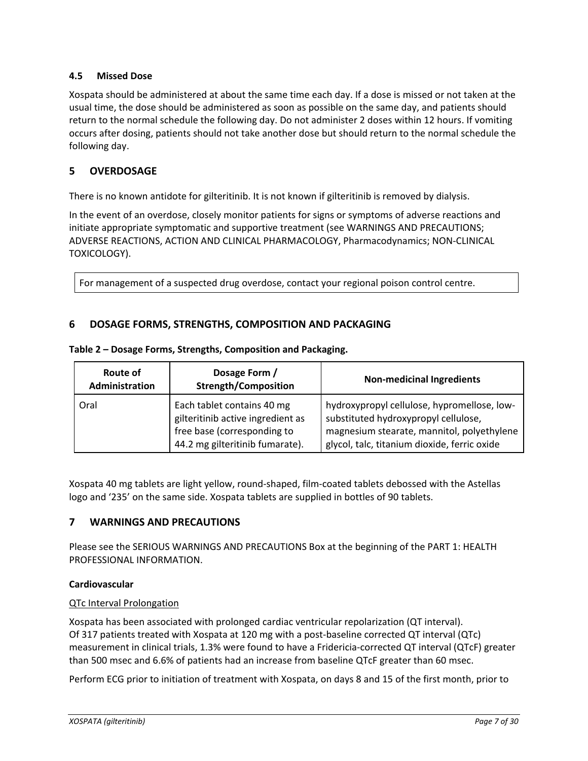## <span id="page-6-0"></span>**4.5 Missed Dose**

Xospata should be administered at about the same time each day. If a dose is missed or not taken at the usual time, the dose should be administered as soon as possible on the same day, and patients should return to the normal schedule the following day. Do not administer 2 doses within 12 hours. If vomiting occurs after dosing, patients should not take another dose but should return to the normal schedule the following day.

# <span id="page-6-1"></span>**5 OVERDOSAGE**

There is no known antidote for gilteritinib. It is not known if gilteritinib is removed by dialysis.

In the event of an overdose, closely monitor patients for signs or symptoms of adverse reactions and initiate appropriate symptomatic and supportive treatment (see WARNINGS AND PRECAUTIONS; ADVERSE REACTIONS, ACTION AND CLINICAL PHARMACOLOGY, Pharmacodynamics; NON-CLINICAL TOXICOLOGY).

For management of a suspected drug overdose, contact your regional poison control centre.

# <span id="page-6-2"></span>**6 DOSAGE FORMS, STRENGTHS, COMPOSITION AND PACKAGING**

| Route of<br>Administration | Dosage Form /<br><b>Strength/Composition</b>                                                                                      | <b>Non-medicinal Ingredients</b>                                                                                                                                                  |  |
|----------------------------|-----------------------------------------------------------------------------------------------------------------------------------|-----------------------------------------------------------------------------------------------------------------------------------------------------------------------------------|--|
| Oral                       | Each tablet contains 40 mg<br>gilteritinib active ingredient as<br>free base (corresponding to<br>44.2 mg gilteritinib fumarate). | hydroxypropyl cellulose, hypromellose, low-<br>substituted hydroxypropyl cellulose,<br>magnesium stearate, mannitol, polyethylene<br>glycol, talc, titanium dioxide, ferric oxide |  |

#### **Table 2 – Dosage Forms, Strengths, Composition and Packaging.**

Xospata 40 mg tablets are light yellow, round-shaped, film-coated tablets debossed with the Astellas logo and '235' on the same side. Xospata tablets are supplied in bottles of 90 tablets.

### <span id="page-6-3"></span>**7 WARNINGS AND PRECAUTIONS**

Please see the SERIOUS WARNINGS AND PRECAUTIONS Box at the beginning of the PART 1: HEALTH PROFESSIONAL INFORMATION.

### **Cardiovascular**

### QTc Interval Prolongation

Xospata has been associated with prolonged cardiac ventricular repolarization (QT interval). Of 317 patients treated with Xospata at 120 mg with a post-baseline corrected QT interval (QTc) measurement in clinical trials, 1.3% were found to have a Fridericia-corrected QT interval (QTcF) greater than 500 msec and 6.6% of patients had an increase from baseline QTcF greater than 60 msec.

Perform ECG prior to initiation of treatment with Xospata, on days 8 and 15 of the first month, prior to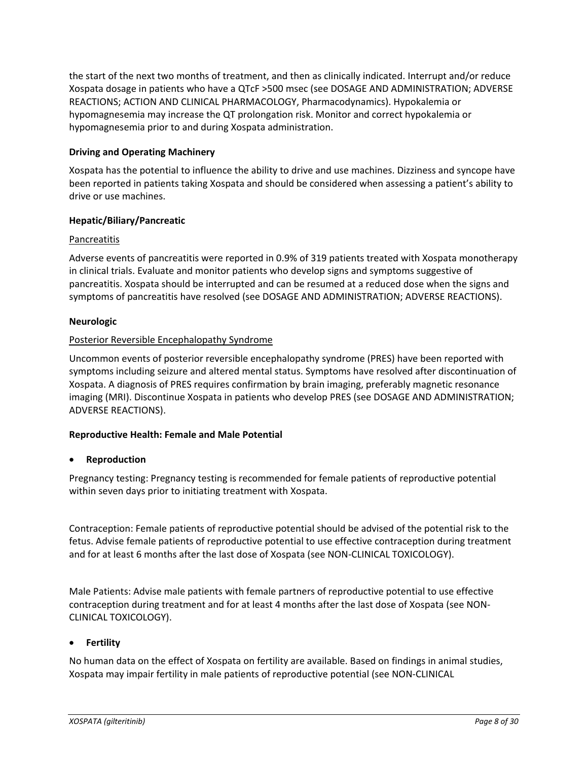the start of the next two months of treatment, and then as clinically indicated. Interrupt and/or reduce Xospata dosage in patients who have a QTcF >500 msec (see DOSAGE AND ADMINISTRATION; ADVERSE REACTIONS; ACTION AND CLINICAL PHARMACOLOGY, Pharmacodynamics). Hypokalemia or hypomagnesemia may increase the QT prolongation risk. Monitor and correct hypokalemia or hypomagnesemia prior to and during Xospata administration.

## **Driving and Operating Machinery**

Xospata has the potential to influence the ability to drive and use machines. Dizziness and syncope have been reported in patients taking Xospata and should be considered when assessing a patient's ability to drive or use machines.

### **Hepatic/Biliary/Pancreatic**

### **Pancreatitis**

Adverse events of pancreatitis were reported in 0.9% of 319 patients treated with Xospata monotherapy in clinical trials. Evaluate and monitor patients who develop signs and symptoms suggestive of pancreatitis. Xospata should be interrupted and can be resumed at a reduced dose when the signs and symptoms of pancreatitis have resolved (see DOSAGE AND ADMINISTRATION; ADVERSE REACTIONS).

## **Neurologic**

## Posterior Reversible Encephalopathy Syndrome

Uncommon events of posterior reversible encephalopathy syndrome (PRES) have been reported with symptoms including seizure and altered mental status. Symptoms have resolved after discontinuation of Xospata. A diagnosis of PRES requires confirmation by brain imaging, preferably magnetic resonance imaging (MRI). Discontinue Xospata in patients who develop PRES (see DOSAGE AND ADMINISTRATION; ADVERSE REACTIONS).

### **Reproductive Health: Female and Male Potential**

### • **Reproduction**

Pregnancy testing: Pregnancy testing is recommended for female patients of reproductive potential within seven days prior to initiating treatment with Xospata.

Contraception: Female patients of reproductive potential should be advised of the potential risk to the fetus. Advise female patients of reproductive potential to use effective contraception during treatment and for at least 6 months after the last dose of Xospata (see NON-CLINICAL TOXICOLOGY).

Male Patients: Advise male patients with female partners of reproductive potential to use effective contraception during treatment and for at least 4 months after the last dose of Xospata (see NON-CLINICAL TOXICOLOGY).

# • **Fertility**

No human data on the effect of Xospata on fertility are available. Based on findings in animal studies, Xospata may impair fertility in male patients of reproductive potential (see NON-CLINICAL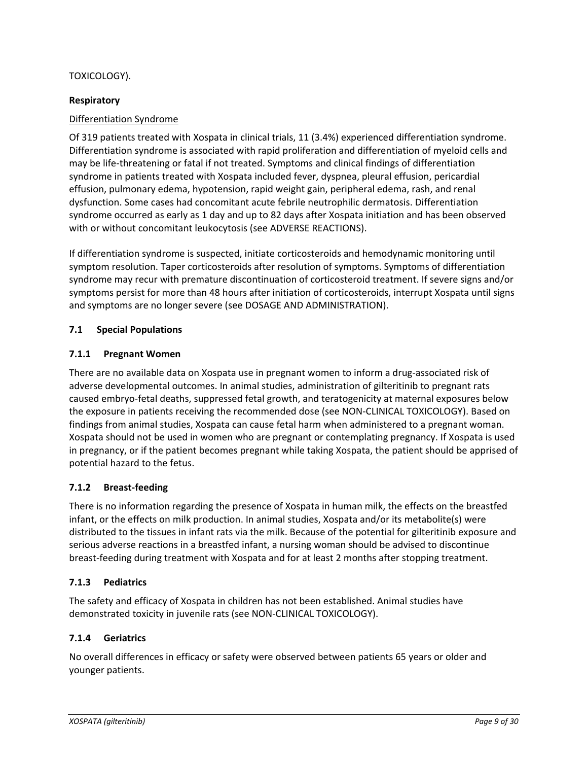# TOXICOLOGY).

## **Respiratory**

## Differentiation Syndrome

Of 319 patients treated with Xospata in clinical trials, 11 (3.4%) experienced differentiation syndrome. Differentiation syndrome is associated with rapid proliferation and differentiation of myeloid cells and may be life-threatening or fatal if not treated. Symptoms and clinical findings of differentiation syndrome in patients treated with Xospata included fever, dyspnea, pleural effusion, pericardial effusion, pulmonary edema, hypotension, rapid weight gain, peripheral edema, rash, and renal dysfunction. Some cases had concomitant acute febrile neutrophilic dermatosis. Differentiation syndrome occurred as early as 1 day and up to 82 days after Xospata initiation and has been observed with or without concomitant leukocytosis (see ADVERSE REACTIONS).

If differentiation syndrome is suspected, initiate corticosteroids and hemodynamic monitoring until symptom resolution. Taper corticosteroids after resolution of symptoms. Symptoms of differentiation syndrome may recur with premature discontinuation of corticosteroid treatment. If severe signs and/or symptoms persist for more than 48 hours after initiation of corticosteroids, interrupt Xospata until signs and symptoms are no longer severe (see DOSAGE AND ADMINISTRATION).

## <span id="page-8-0"></span>**7.1 Special Populations**

## <span id="page-8-1"></span>**7.1.1 Pregnant Women**

There are no available data on Xospata use in pregnant women to inform a drug-associated risk of adverse developmental outcomes. In animal studies, administration of gilteritinib to pregnant rats caused embryo-fetal deaths, suppressed fetal growth, and teratogenicity at maternal exposures below the exposure in patients receiving the recommended dose (see NON-CLINICAL TOXICOLOGY). Based on findings from animal studies, Xospata can cause fetal harm when administered to a pregnant woman. Xospata should not be used in women who are pregnant or contemplating pregnancy. If Xospata is used in pregnancy, or if the patient becomes pregnant while taking Xospata, the patient should be apprised of potential hazard to the fetus.

### <span id="page-8-2"></span>**7.1.2 Breast-feeding**

There is no information regarding the presence of Xospata in human milk, the effects on the breastfed infant, or the effects on milk production. In animal studies, Xospata and/or its metabolite(s) were distributed to the tissues in infant rats via the milk. Because of the potential for gilteritinib exposure and serious adverse reactions in a breastfed infant, a nursing woman should be advised to discontinue breast-feeding during treatment with Xospata and for at least 2 months after stopping treatment.

### <span id="page-8-3"></span>**7.1.3 Pediatrics**

The safety and efficacy of Xospata in children has not been established. Animal studies have demonstrated toxicity in juvenile rats (see NON-CLINICAL TOXICOLOGY).

### <span id="page-8-4"></span>**7.1.4 Geriatrics**

No overall differences in efficacy or safety were observed between patients 65 years or older and younger patients.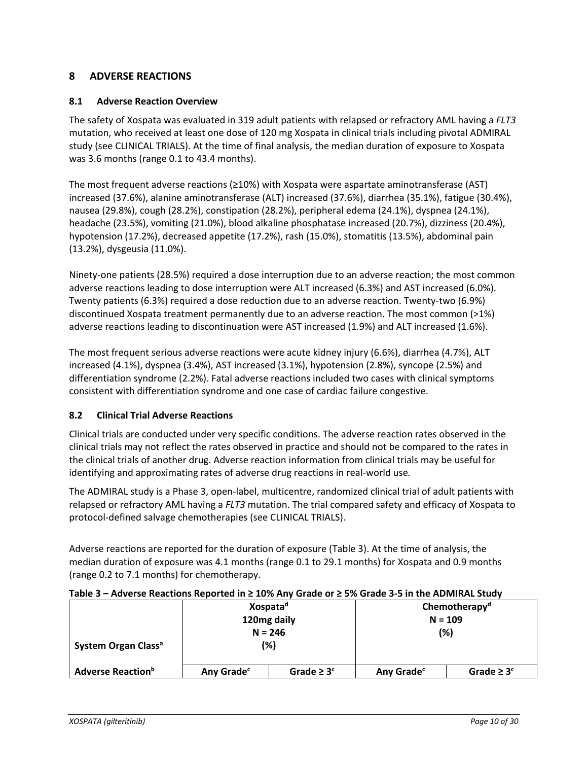# <span id="page-9-0"></span>**8 ADVERSE REACTIONS**

## <span id="page-9-1"></span>**8.1 Adverse Reaction Overview**

The safety of Xospata was evaluated in 319 adult patients with relapsed or refractory AML having a *FLT3* mutation, who received at least one dose of 120 mg Xospata in clinical trials including pivotal ADMIRAL study (see CLINICAL TRIALS). At the time of final analysis, the median duration of exposure to Xospata was 3.6 months (range 0.1 to 43.4 months).

The most frequent adverse reactions (≥10%) with Xospata were aspartate aminotransferase (AST) increased (37.6%), alanine aminotransferase (ALT) increased (37.6%), diarrhea (35.1%), fatigue (30.4%), nausea (29.8%), cough (28.2%), constipation (28.2%), peripheral edema (24.1%), dyspnea (24.1%), headache (23.5%), vomiting (21.0%), blood alkaline phosphatase increased (20.7%), dizziness (20.4%), hypotension (17.2%), decreased appetite (17.2%), rash (15.0%), stomatitis (13.5%), abdominal pain (13.2%), dysgeusia (11.0%).

Ninety-one patients (28.5%) required a dose interruption due to an adverse reaction; the most common adverse reactions leading to dose interruption were ALT increased (6.3%) and AST increased (6.0%). Twenty patients (6.3%) required a dose reduction due to an adverse reaction. Twenty-two (6.9%) discontinued Xospata treatment permanently due to an adverse reaction. The most common (>1%) adverse reactions leading to discontinuation were AST increased (1.9%) and ALT increased (1.6%).

The most frequent serious adverse reactions were acute kidney injury (6.6%), diarrhea (4.7%), ALT increased (4.1%), dyspnea (3.4%), AST increased (3.1%), hypotension (2.8%), syncope (2.5%) and differentiation syndrome (2.2%). Fatal adverse reactions included two cases with clinical symptoms consistent with differentiation syndrome and one case of cardiac failure congestive.

### <span id="page-9-2"></span>**8.2 Clinical Trial Adverse Reactions**

Clinical trials are conducted under very specific conditions. The adverse reaction rates observed in the clinical trials may not reflect the rates observed in practice and should not be compared to the rates in the clinical trials of another drug. Adverse reaction information from clinical trials may be useful for identifying and approximating rates of adverse drug reactions in real-world use*.*

The ADMIRAL study is a Phase 3, open-label, multicentre, randomized clinical trial of adult patients with relapsed or refractory AML having a *FLT3* mutation. The trial compared safety and efficacy of Xospata to protocol-defined salvage chemotherapies (see CLINICAL TRIALS).

Adverse reactions are reported for the duration of exposure (Table 3). At the time of analysis, the median duration of exposure was 4.1 months (range 0.1 to 29.1 months) for Xospata and 0.9 months (range 0.2 to 7.1 months) for chemotherapy.

|                                      | Xospata <sup>d</sup>   |                  | Chemotherapy <sup>d</sup> |                  |  |
|--------------------------------------|------------------------|------------------|---------------------------|------------------|--|
|                                      | 120mg daily            |                  | $N = 109$                 |                  |  |
|                                      | $N = 246$              |                  | (%)                       |                  |  |
| System Organ Class <sup>a</sup>      | (%)                    |                  |                           |                  |  |
|                                      |                        |                  |                           |                  |  |
| <b>Adverse Reaction</b> <sup>b</sup> | Any Grade <sup>c</sup> | Grade $\geq 3^c$ | Any Grade <sup>c</sup>    | Grade $\geq 3^c$ |  |

#### **Table 3 – Adverse Reactions Reported in ≥ 10% Any Grade or ≥ 5% Grade 3-5 in the ADMIRAL Study**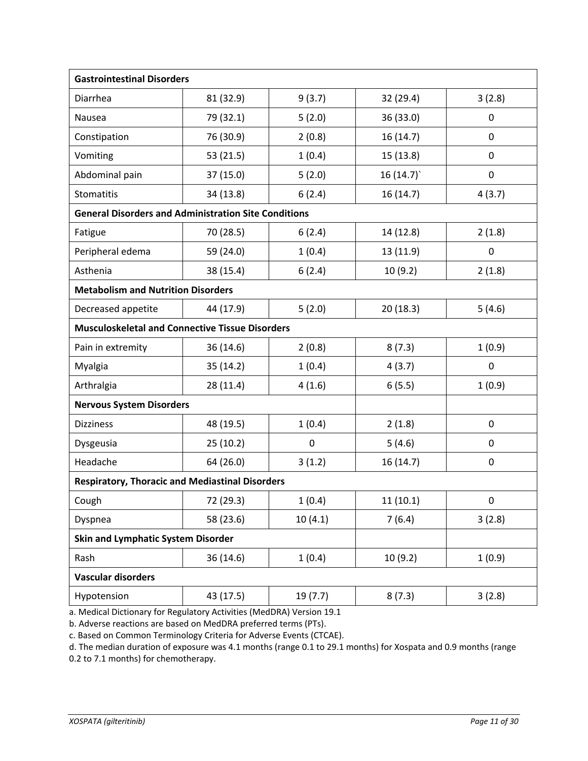| <b>Gastrointestinal Disorders</b>                           |                                    |         |           |           |  |  |
|-------------------------------------------------------------|------------------------------------|---------|-----------|-----------|--|--|
| Diarrhea                                                    | 81 (32.9)                          | 9(3.7)  | 32 (29.4) | 3(2.8)    |  |  |
| Nausea                                                      | 79 (32.1)                          | 5(2.0)  | 36 (33.0) | 0         |  |  |
| Constipation                                                | 76 (30.9)                          | 2(0.8)  | 16(14.7)  | 0         |  |  |
| Vomiting                                                    | 53 (21.5)                          | 1(0.4)  | 15(13.8)  | 0         |  |  |
| Abdominal pain                                              | 37 (15.0)                          | 5(2.0)  | 16(14.7)  | $\pmb{0}$ |  |  |
| Stomatitis                                                  | 34 (13.8)                          | 6(2.4)  | 16 (14.7) | 4(3.7)    |  |  |
| <b>General Disorders and Administration Site Conditions</b> |                                    |         |           |           |  |  |
| Fatigue                                                     | 70 (28.5)                          | 6(2.4)  | 14 (12.8) | 2(1.8)    |  |  |
| Peripheral edema                                            | 59 (24.0)                          | 1(0.4)  | 13 (11.9) | 0         |  |  |
| Asthenia                                                    | 38 (15.4)                          | 6(2.4)  | 10(9.2)   | 2(1.8)    |  |  |
| <b>Metabolism and Nutrition Disorders</b>                   |                                    |         |           |           |  |  |
| Decreased appetite                                          | 44 (17.9)                          | 5(2.0)  | 20 (18.3) | 5(4.6)    |  |  |
| <b>Musculoskeletal and Connective Tissue Disorders</b>      |                                    |         |           |           |  |  |
| Pain in extremity                                           | 36 (14.6)                          | 2(0.8)  | 8(7.3)    | 1(0.9)    |  |  |
| Myalgia                                                     | 35 (14.2)                          | 1(0.4)  | 4(3.7)    | 0         |  |  |
| Arthralgia                                                  | 28 (11.4)                          | 4(1.6)  | 6(5.5)    | 1(0.9)    |  |  |
| <b>Nervous System Disorders</b>                             |                                    |         |           |           |  |  |
| <b>Dizziness</b>                                            | 48 (19.5)                          | 1(0.4)  | 2(1.8)    | 0         |  |  |
| Dysgeusia                                                   | 25 (10.2)                          | 0       | 5(4.6)    | 0         |  |  |
| Headache                                                    | 64 (26.0)                          | 3(1.2)  | 16 (14.7) | 0         |  |  |
| <b>Respiratory, Thoracic and Mediastinal Disorders</b>      |                                    |         |           |           |  |  |
| Cough                                                       | 72 (29.3)                          | 1(0.4)  | 11(10.1)  | 0         |  |  |
| Dyspnea                                                     | 58 (23.6)                          | 10(4.1) | 7(6.4)    | 3(2.8)    |  |  |
|                                                             | Skin and Lymphatic System Disorder |         |           |           |  |  |
| Rash                                                        | 36 (14.6)                          | 1(0.4)  | 10 (9.2)  | 1(0.9)    |  |  |
| <b>Vascular disorders</b>                                   |                                    |         |           |           |  |  |
| Hypotension                                                 | 43 (17.5)                          | 19(7.7) | 8(7.3)    | 3(2.8)    |  |  |

a. Medical Dictionary for Regulatory Activities (MedDRA) Version 19.1

b. Adverse reactions are based on MedDRA preferred terms (PTs).

c. Based on Common Terminology Criteria for Adverse Events (CTCAE).

d. The median duration of exposure was 4.1 months (range 0.1 to 29.1 months) for Xospata and 0.9 months (range

0.2 to 7.1 months) for chemotherapy.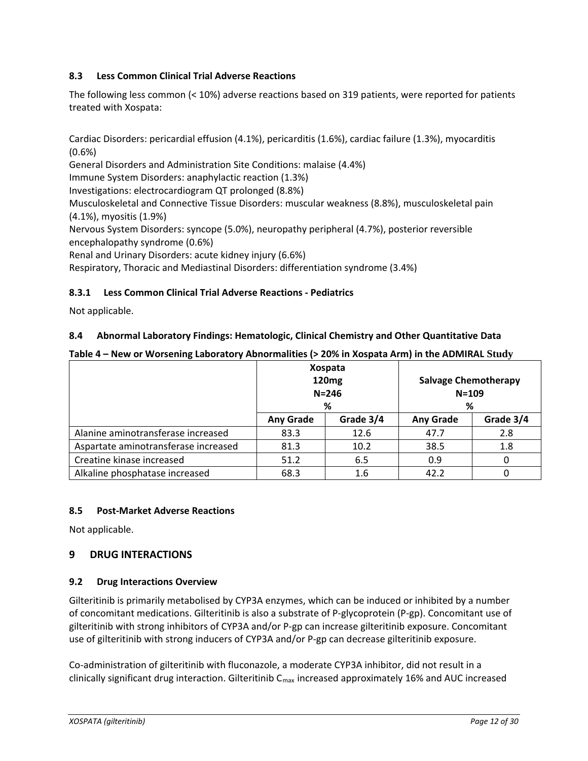## <span id="page-11-0"></span>**8.3 Less Common Clinical Trial Adverse Reactions**

The following less common (< 10%) adverse reactions based on 319 patients, were reported for patients treated with Xospata:

Cardiac Disorders: pericardial effusion (4.1%), pericarditis (1.6%), cardiac failure (1.3%), myocarditis (0.6%)

General Disorders and Administration Site Conditions: malaise (4.4%)

Immune System Disorders: anaphylactic reaction (1.3%)

Investigations: electrocardiogram QT prolonged (8.8%)

Musculoskeletal and Connective Tissue Disorders: muscular weakness (8.8%), musculoskeletal pain (4.1%), myositis (1.9%)

Nervous System Disorders: syncope (5.0%), neuropathy peripheral (4.7%), posterior reversible encephalopathy syndrome (0.6%)

Renal and Urinary Disorders: acute kidney injury (6.6%)

<span id="page-11-1"></span>Respiratory, Thoracic and Mediastinal Disorders: differentiation syndrome (3.4%)

### **8.3.1 Less Common Clinical Trial Adverse Reactions - Pediatrics**

Not applicable.

### <span id="page-11-2"></span>**8.4 Abnormal Laboratory Findings: Hematologic, Clinical Chemistry and Other Quantitative Data**

| Table 4 - New or Worsening Laboratory Abnormalities (> 20% in Xospata Arm) in the ADMIRAL Study |  |
|-------------------------------------------------------------------------------------------------|--|
|-------------------------------------------------------------------------------------------------|--|

|                                      | <b>Xospata</b><br>120 <sub>mg</sub><br>$N = 246$<br>% |           | <b>Salvage Chemotherapy</b><br>$N = 109$<br>% |           |
|--------------------------------------|-------------------------------------------------------|-----------|-----------------------------------------------|-----------|
|                                      | <b>Any Grade</b>                                      | Grade 3/4 | <b>Any Grade</b>                              | Grade 3/4 |
| Alanine aminotransferase increased   | 83.3                                                  | 12.6      | 47.7                                          | 2.8       |
| Aspartate aminotransferase increased | 81.3                                                  | 10.2      | 38.5                                          | 1.8       |
| Creatine kinase increased            | 51.2                                                  | 6.5       | 0.9                                           |           |
| Alkaline phosphatase increased       | 68.3                                                  | 1.6       | 42.2                                          |           |

### <span id="page-11-3"></span>**8.5 Post-Market Adverse Reactions**

<span id="page-11-4"></span>Not applicable.

### **9 DRUG INTERACTIONS**

### <span id="page-11-5"></span>**9.2 Drug Interactions Overview**

Gilteritinib is primarily metabolised by CYP3A enzymes, which can be induced or inhibited by a number of concomitant medications. Gilteritinib is also a substrate of P-glycoprotein (P-gp). Concomitant use of gilteritinib with strong inhibitors of CYP3A and/or P-gp can increase gilteritinib exposure. Concomitant use of gilteritinib with strong inducers of CYP3A and/or P-gp can decrease gilteritinib exposure.

Co-administration of gilteritinib with fluconazole, a moderate CYP3A inhibitor, did not result in a clinically significant drug interaction. Gilteritinib  $C_{\text{max}}$  increased approximately 16% and AUC increased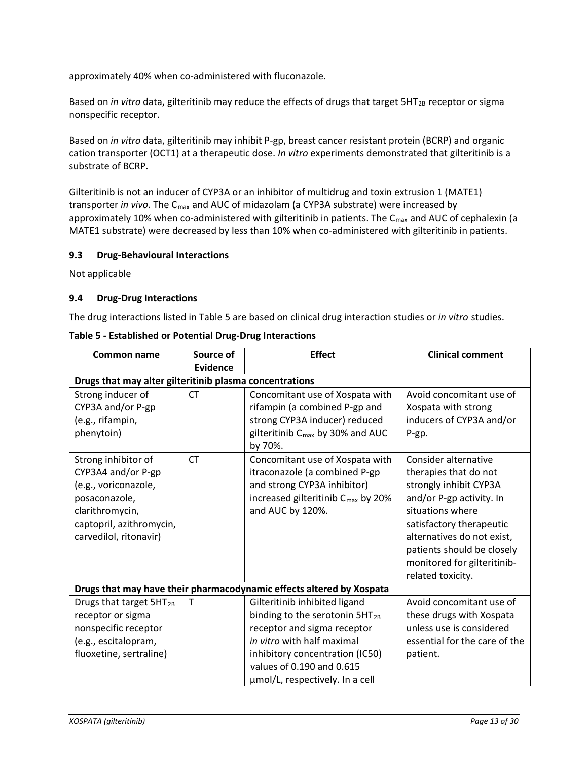approximately 40% when co-administered with fluconazole.

Based on *in vitro* data, gilteritinib may reduce the effects of drugs that target 5HT<sub>2B</sub> receptor or sigma nonspecific receptor.

Based on *in vitro* data, gilteritinib may inhibit P-gp, breast cancer resistant protein (BCRP) and organic cation transporter (OCT1) at a therapeutic dose. *In vitro* experiments demonstrated that gilteritinib is a substrate of BCRP.

Gilteritinib is not an inducer of CYP3A or an inhibitor of multidrug and toxin extrusion 1 (MATE1) transporter *in vivo*. The C<sub>max</sub> and AUC of midazolam (a CYP3A substrate) were increased by approximately 10% when co-administered with gilteritinib in patients. The  $C_{\text{max}}$  and AUC of cephalexin (a MATE1 substrate) were decreased by less than 10% when co-administered with gilteritinib in patients.

### <span id="page-12-0"></span>**9.3 Drug-Behavioural Interactions**

<span id="page-12-1"></span>Not applicable

#### **9.4 Drug-Drug Interactions**

The drug interactions listed in Table 5 are based on clinical drug interaction studies or *in vitro* studies.

| <b>Common name</b>                                                                                                                                          | Source of       | <b>Effect</b>                                                                                                                                                                                                                               | <b>Clinical comment</b>                                                                                                                                                                                                                                             |  |  |  |  |
|-------------------------------------------------------------------------------------------------------------------------------------------------------------|-----------------|---------------------------------------------------------------------------------------------------------------------------------------------------------------------------------------------------------------------------------------------|---------------------------------------------------------------------------------------------------------------------------------------------------------------------------------------------------------------------------------------------------------------------|--|--|--|--|
|                                                                                                                                                             | <b>Evidence</b> |                                                                                                                                                                                                                                             |                                                                                                                                                                                                                                                                     |  |  |  |  |
| Drugs that may alter gilteritinib plasma concentrations                                                                                                     |                 |                                                                                                                                                                                                                                             |                                                                                                                                                                                                                                                                     |  |  |  |  |
| Strong inducer of<br>CYP3A and/or P-gp                                                                                                                      | СT              | Concomitant use of Xospata with<br>rifampin (a combined P-gp and                                                                                                                                                                            | Avoid concomitant use of<br>Xospata with strong                                                                                                                                                                                                                     |  |  |  |  |
| (e.g., rifampin,                                                                                                                                            |                 | strong CYP3A inducer) reduced                                                                                                                                                                                                               | inducers of CYP3A and/or                                                                                                                                                                                                                                            |  |  |  |  |
| phenytoin)                                                                                                                                                  |                 | gilteritinib C <sub>max</sub> by 30% and AUC<br>by 70%.                                                                                                                                                                                     | P-gp.                                                                                                                                                                                                                                                               |  |  |  |  |
| Strong inhibitor of<br>CYP3A4 and/or P-gp<br>(e.g., voriconazole,<br>posaconazole,<br>clarithromycin,<br>captopril, azithromycin,<br>carvedilol, ritonavir) | <b>CT</b>       | Concomitant use of Xospata with<br>itraconazole (a combined P-gp<br>and strong CYP3A inhibitor)<br>increased gilteritinib C <sub>max</sub> by 20%<br>and AUC by 120%.                                                                       | Consider alternative<br>therapies that do not<br>strongly inhibit CYP3A<br>and/or P-gp activity. In<br>situations where<br>satisfactory therapeutic<br>alternatives do not exist,<br>patients should be closely<br>monitored for gilteritinib-<br>related toxicity. |  |  |  |  |
|                                                                                                                                                             |                 | Drugs that may have their pharmacodynamic effects altered by Xospata                                                                                                                                                                        |                                                                                                                                                                                                                                                                     |  |  |  |  |
| Drugs that target 5HT <sub>2B</sub><br>receptor or sigma<br>nonspecific receptor<br>(e.g., escitalopram,<br>fluoxetine, sertraline)                         | т               | Gilteritinib inhibited ligand<br>binding to the serotonin 5HT <sub>2B</sub><br>receptor and sigma receptor<br>in vitro with half maximal<br>inhibitory concentration (IC50)<br>values of 0.190 and 0.615<br>umol/L, respectively. In a cell | Avoid concomitant use of<br>these drugs with Xospata<br>unless use is considered<br>essential for the care of the<br>patient.                                                                                                                                       |  |  |  |  |

**Table 5 - Established or Potential Drug-Drug Interactions**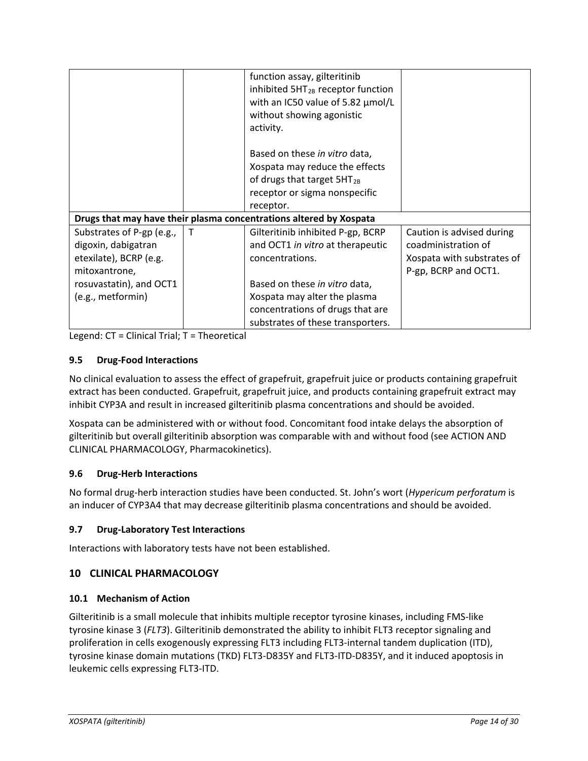|                                                                                             |        | function assay, gilteritinib<br>inhibited 5HT <sub>2B</sub> receptor function<br>with an IC50 value of 5.82 µmol/L<br>without showing agonistic<br>activity. |                                                                                                        |
|---------------------------------------------------------------------------------------------|--------|--------------------------------------------------------------------------------------------------------------------------------------------------------------|--------------------------------------------------------------------------------------------------------|
|                                                                                             |        | Based on these in vitro data,<br>Xospata may reduce the effects<br>of drugs that target 5HT <sub>2B</sub><br>receptor or sigma nonspecific<br>receptor.      |                                                                                                        |
|                                                                                             |        | Drugs that may have their plasma concentrations altered by Xospata                                                                                           |                                                                                                        |
| Substrates of P-gp (e.g.,<br>digoxin, dabigatran<br>etexilate), BCRP (e.g.<br>mitoxantrone, | $\top$ | Gilteritinib inhibited P-gp, BCRP<br>and OCT1 in vitro at therapeutic<br>concentrations.                                                                     | Caution is advised during<br>coadministration of<br>Xospata with substrates of<br>P-gp, BCRP and OCT1. |
| rosuvastatin), and OCT1<br>(e.g., metformin)                                                |        | Based on these in vitro data,<br>Xospata may alter the plasma<br>concentrations of drugs that are<br>substrates of these transporters.                       |                                                                                                        |

Legend: CT = Clinical Trial; T = Theoretical

# <span id="page-13-0"></span>**9.5 Drug-Food Interactions**

No clinical evaluation to assess the effect of grapefruit, grapefruit juice or products containing grapefruit extract has been conducted. Grapefruit, grapefruit juice, and products containing grapefruit extract may inhibit CYP3A and result in increased gilteritinib plasma concentrations and should be avoided.

Xospata can be administered with or without food. Concomitant food intake delays the absorption of gilteritinib but overall gilteritinib absorption was comparable with and without food (see ACTION AND CLINICAL PHARMACOLOGY, Pharmacokinetics).

# <span id="page-13-1"></span>**9.6 Drug-Herb Interactions**

No formal drug-herb interaction studies have been conducted. St. John's wort (*Hypericum perforatum* is an inducer of CYP3A4 that may decrease gilteritinib plasma concentrations and should be avoided.

# <span id="page-13-2"></span>**9.7 Drug-Laboratory Test Interactions**

<span id="page-13-3"></span>Interactions with laboratory tests have not been established.

# **10 CLINICAL PHARMACOLOGY**

# <span id="page-13-4"></span>**10.1 Mechanism of Action**

Gilteritinib is a small molecule that inhibits multiple receptor tyrosine kinases, including FMS-like tyrosine kinase 3 (*FLT3*). Gilteritinib demonstrated the ability to inhibit FLT3 receptor signaling and proliferation in cells exogenously expressing FLT3 including FLT3-internal tandem duplication (ITD), tyrosine kinase domain mutations (TKD) FLT3-D835Y and FLT3-ITD-D835Y, and it induced apoptosis in leukemic cells expressing FLT3-ITD.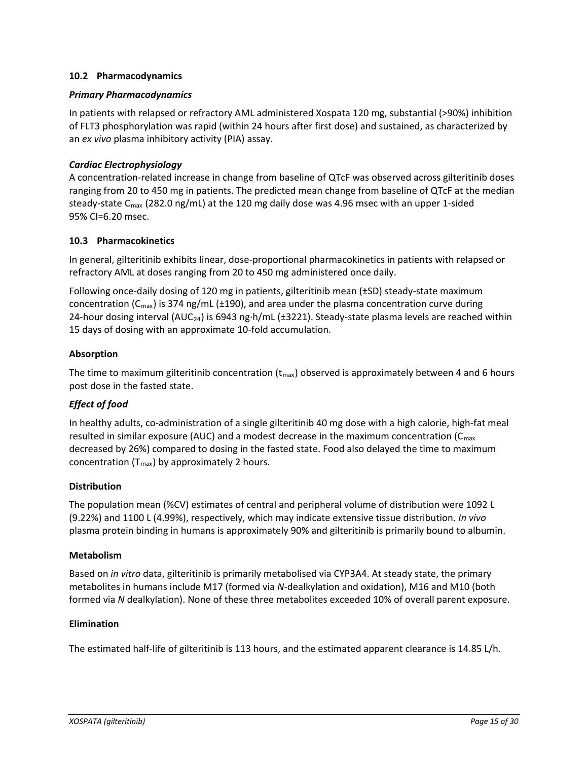### <span id="page-14-0"></span>**10.2 Pharmacodynamics**

#### *Primary Pharmacodynamics*

In patients with relapsed or refractory AML administered Xospata 120 mg, substantial (>90%) inhibition of FLT3 phosphorylation was rapid (within 24 hours after first dose) and sustained, as characterized by an *ex vivo* plasma inhibitory activity (PIA) assay.

### *Cardiac Electrophysiology*

A concentration-related increase in change from baseline of QTcF was observed across gilteritinib doses ranging from 20 to 450 mg in patients. The predicted mean change from baseline of QTcF at the median steady-state  $C_{\text{max}}$  (282.0 ng/mL) at the 120 mg daily dose was 4.96 msec with an upper 1-sided 95% CI=6.20 msec.

#### <span id="page-14-1"></span>**10.3 Pharmacokinetics**

In general, gilteritinib exhibits linear, dose-proportional pharmacokinetics in patients with relapsed or refractory AML at doses ranging from 20 to 450 mg administered once daily.

Following once-daily dosing of 120 mg in patients, gilteritinib mean (±SD) steady-state maximum concentration ( $C_{\text{max}}$ ) is 374 ng/mL (±190), and area under the plasma concentration curve during 24-hour dosing interval ( $AUC_{24}$ ) is 6943 ng·h/mL ( $\pm$ 3221). Steady-state plasma levels are reached within 15 days of dosing with an approximate 10-fold accumulation.

### **Absorption**

The time to maximum gilteritinib concentration  $(t_{\text{max}})$  observed is approximately between 4 and 6 hours post dose in the fasted state.

### *Effect of food*

In healthy adults, co-administration of a single gilteritinib 40 mg dose with a high calorie, high-fat meal resulted in similar exposure (AUC) and a modest decrease in the maximum concentration ( $C_{\text{max}}$ decreased by 26%) compared to dosing in the fasted state. Food also delayed the time to maximum concentration  $(T_{max})$  by approximately 2 hours.

### **Distribution**

The population mean (%CV) estimates of central and peripheral volume of distribution were 1092 L (9.22%) and 1100 L (4.99%), respectively, which may indicate extensive tissue distribution. *In vivo*  plasma protein binding in humans is approximately 90% and gilteritinib is primarily bound to albumin.

#### **Metabolism**

Based on *in vitro* data, gilteritinib is primarily metabolised via CYP3A4. At steady state, the primary metabolites in humans include M17 (formed via *N*-dealkylation and oxidation), M16 and M10 (both formed via *N* dealkylation). None of these three metabolites exceeded 10% of overall parent exposure.

#### **Elimination**

The estimated half-life of gilteritinib is 113 hours, and the estimated apparent clearance is 14.85 L/h.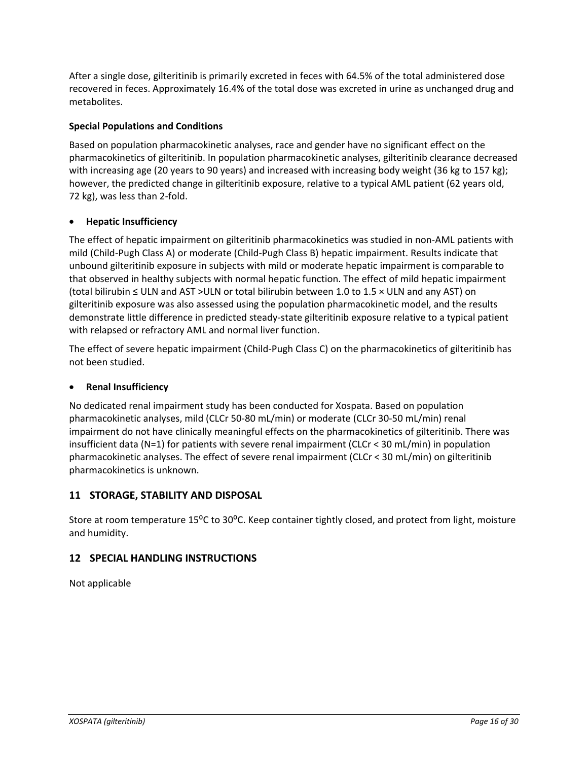After a single dose, gilteritinib is primarily excreted in feces with 64.5% of the total administered dose recovered in feces. Approximately 16.4% of the total dose was excreted in urine as unchanged drug and metabolites.

## **Special Populations and Conditions**

Based on population pharmacokinetic analyses, race and gender have no significant effect on the pharmacokinetics of gilteritinib. In population pharmacokinetic analyses, gilteritinib clearance decreased with increasing age (20 years to 90 years) and increased with increasing body weight (36 kg to 157 kg); however, the predicted change in gilteritinib exposure, relative to a typical AML patient (62 years old, 72 kg), was less than 2-fold.

## • **Hepatic Insufficiency**

The effect of hepatic impairment on gilteritinib pharmacokinetics was studied in non-AML patients with mild (Child-Pugh Class A) or moderate (Child-Pugh Class B) hepatic impairment. Results indicate that unbound gilteritinib exposure in subjects with mild or moderate hepatic impairment is comparable to that observed in healthy subjects with normal hepatic function. The effect of mild hepatic impairment (total bilirubin ≤ ULN and AST >ULN or total bilirubin between 1.0 to 1.5 × ULN and any AST) on gilteritinib exposure was also assessed using the population pharmacokinetic model, and the results demonstrate little difference in predicted steady-state gilteritinib exposure relative to a typical patient with relapsed or refractory AML and normal liver function.

The effect of severe hepatic impairment (Child-Pugh Class C) on the pharmacokinetics of gilteritinib has not been studied.

# • **Renal Insufficiency**

No dedicated renal impairment study has been conducted for Xospata. Based on population pharmacokinetic analyses, mild (CLCr 50-80 mL/min) or moderate (CLCr 30-50 mL/min) renal impairment do not have clinically meaningful effects on the pharmacokinetics of gilteritinib. There was insufficient data (N=1) for patients with severe renal impairment (CLCr < 30 mL/min) in population pharmacokinetic analyses. The effect of severe renal impairment (CLCr < 30 mL/min) on gilteritinib pharmacokinetics is unknown.

# <span id="page-15-0"></span>**11 STORAGE, STABILITY AND DISPOSAL**

Store at room temperature 15 $^{\circ}$ C to 30 $^{\circ}$ C. Keep container tightly closed, and protect from light, moisture and humidity.

# <span id="page-15-1"></span>**12 SPECIAL HANDLING INSTRUCTIONS**

Not applicable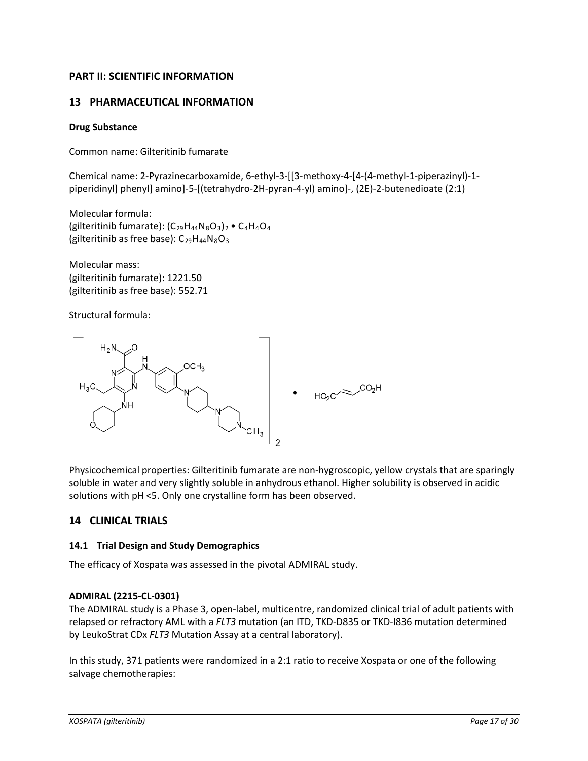# <span id="page-16-0"></span>**PART II: SCIENTIFIC INFORMATION**

# <span id="page-16-1"></span>**13 PHARMACEUTICAL INFORMATION**

## **Drug Substance**

Common name: Gilteritinib fumarate

Chemical name: 2-Pyrazinecarboxamide, 6-ethyl-3-[[3-methoxy-4-[4-(4-methyl-1-piperazinyl)-1 piperidinyl] phenyl] amino]-5-[(tetrahydro-2H-pyran-4-yl) amino]-, (2E)-2-butenedioate (2:1)

Molecular formula: (gilteritinib fumarate):  $(C_{29}H_{44}N_8O_3)_2$  •  $C_4H_4O_4$ (gilteritinib as free base):  $C_{29}H_{44}N_8O_3$ 

Molecular mass: (gilteritinib fumarate): 1221.50 (gilteritinib as free base): 552.71

Structural formula:



Physicochemical properties: Gilteritinib fumarate are non-hygroscopic, yellow crystals that are sparingly soluble in water and very slightly soluble in anhydrous ethanol. Higher solubility is observed in acidic solutions with pH <5. Only one crystalline form has been observed.

# <span id="page-16-2"></span>**14 CLINICAL TRIALS**

### <span id="page-16-3"></span>**14.1 Trial Design and Study Demographics**

The efficacy of Xospata was assessed in the pivotal ADMIRAL study.

### **ADMIRAL (2215-CL-0301)**

The ADMIRAL study is a Phase 3, open-label, multicentre, randomized clinical trial of adult patients with relapsed or refractory AML with a *FLT3* mutation (an ITD, TKD-D835 or TKD-I836 mutation determined by LeukoStrat CDx *FLT3* Mutation Assay at a central laboratory).

In this study, 371 patients were randomized in a 2:1 ratio to receive Xospata or one of the following salvage chemotherapies: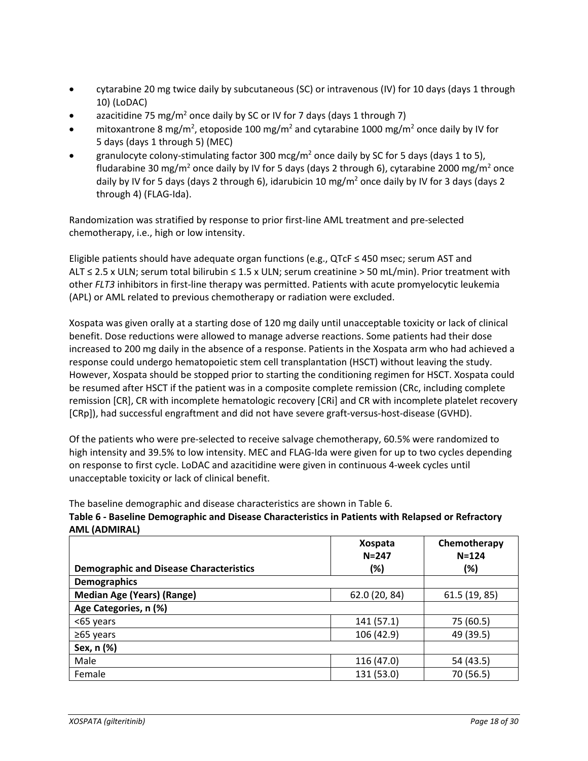- cytarabine 20 mg twice daily by subcutaneous (SC) or intravenous (IV) for 10 days (days 1 through 10) (LoDAC)
- azacitidine 75 mg/m<sup>2</sup> once daily by SC or IV for 7 days (days 1 through 7)
- mitoxantrone 8 mg/m<sup>2</sup>, etoposide 100 mg/m<sup>2</sup> and cytarabine 1000 mg/m<sup>2</sup> once daily by IV for 5 days (days 1 through 5) (MEC)
- granulocyte colony-stimulating factor 300 mcg/ $m^2$  once daily by SC for 5 days (days 1 to 5), fludarabine 30 mg/m<sup>2</sup> once daily by IV for 5 days (days 2 through 6), cytarabine 2000 mg/m<sup>2</sup> once daily by IV for 5 days (days 2 through 6), idarubicin 10 mg/m<sup>2</sup> once daily by IV for 3 days (days 2 through 4) (FLAG-Ida).

Randomization was stratified by response to prior first-line AML treatment and pre-selected chemotherapy, i.e., high or low intensity.

Eligible patients should have adequate organ functions (e.g., QTcF ≤ 450 msec; serum AST and ALT ≤ 2.5 x ULN; serum total bilirubin ≤ 1.5 x ULN; serum creatinine > 50 mL/min). Prior treatment with other *FLT3* inhibitors in first-line therapy was permitted. Patients with acute promyelocytic leukemia (APL) or AML related to previous chemotherapy or radiation were excluded.

Xospata was given orally at a starting dose of 120 mg daily until unacceptable toxicity or lack of clinical benefit. Dose reductions were allowed to manage adverse reactions. Some patients had their dose increased to 200 mg daily in the absence of a response. Patients in the Xospata arm who had achieved a response could undergo hematopoietic stem cell transplantation (HSCT) without leaving the study. However, Xospata should be stopped prior to starting the conditioning regimen for HSCT. Xospata could be resumed after HSCT if the patient was in a composite complete remission (CRc, including complete remission [CR], CR with incomplete hematologic recovery [CRi] and CR with incomplete platelet recovery [CRp]), had successful engraftment and did not have severe graft-versus-host-disease (GVHD).

Of the patients who were pre-selected to receive salvage chemotherapy, 60.5% were randomized to high intensity and 39.5% to low intensity. MEC and FLAG-Ida were given for up to two cycles depending on response to first cycle. LoDAC and azacitidine were given in continuous 4-week cycles until unacceptable toxicity or lack of clinical benefit.

The baseline demographic and disease characteristics are shown in Table 6. **Table 6 - Baseline Demographic and Disease Characteristics in Patients with Relapsed or Refractory AML (ADMIRAL)**

|                                                | <b>Xospata</b><br>$N = 247$ | Chemotherapy<br>$N = 124$ |
|------------------------------------------------|-----------------------------|---------------------------|
| <b>Demographic and Disease Characteristics</b> | (%)                         | (%)                       |
| <b>Demographics</b>                            |                             |                           |
| <b>Median Age (Years) (Range)</b>              | 62.0 (20, 84)               | 61.5 (19, 85)             |
| Age Categories, n (%)                          |                             |                           |
| <65 years                                      | 141 (57.1)                  | 75 (60.5)                 |
| $\geq$ 65 years                                | 106 (42.9)                  | 49 (39.5)                 |
| Sex, n (%)                                     |                             |                           |
| Male                                           | 116 (47.0)                  | 54 (43.5)                 |
| Female                                         | 131 (53.0)                  | 70 (56.5)                 |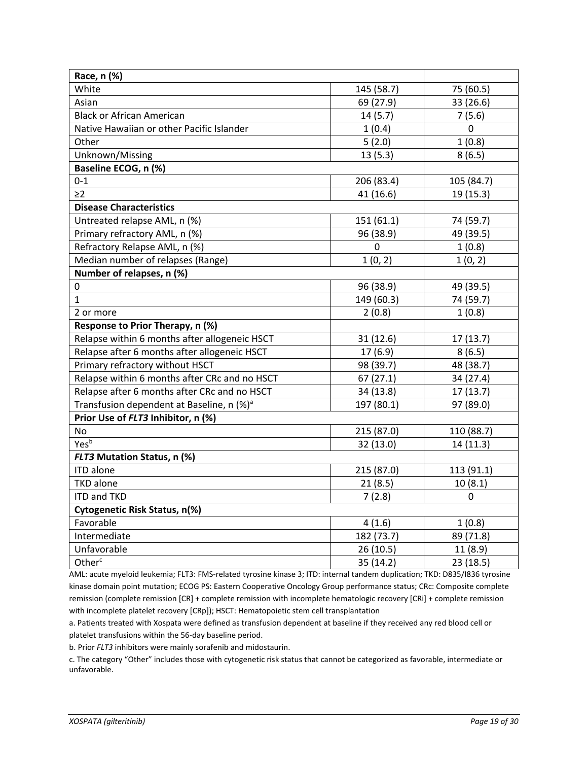| Race, n (%)                                           |            |            |
|-------------------------------------------------------|------------|------------|
| White                                                 | 145 (58.7) | 75 (60.5)  |
| Asian                                                 | 69 (27.9)  | 33 (26.6)  |
| <b>Black or African American</b>                      | 14(5.7)    | 7(5.6)     |
| Native Hawaiian or other Pacific Islander             | 1(0.4)     | 0          |
| Other                                                 | 5(2.0)     | 1(0.8)     |
| Unknown/Missing                                       | 13(5.3)    | 8(6.5)     |
| Baseline ECOG, n (%)                                  |            |            |
| $0 - 1$                                               | 206 (83.4) | 105 (84.7) |
| $\geq$ 2                                              | 41 (16.6)  | 19 (15.3)  |
| <b>Disease Characteristics</b>                        |            |            |
| Untreated relapse AML, n (%)                          | 151 (61.1) | 74 (59.7)  |
| Primary refractory AML, n (%)                         | 96 (38.9)  | 49 (39.5)  |
| Refractory Relapse AML, n (%)                         | 0          | 1(0.8)     |
| Median number of relapses (Range)                     | 1(0, 2)    | 1(0, 2)    |
| Number of relapses, n (%)                             |            |            |
| 0                                                     | 96 (38.9)  | 49 (39.5)  |
| $\mathbf{1}$                                          | 149 (60.3) | 74 (59.7)  |
| 2 or more                                             | 2(0.8)     | 1(0.8)     |
| Response to Prior Therapy, n (%)                      |            |            |
| Relapse within 6 months after allogeneic HSCT         | 31(12.6)   | 17(13.7)   |
| Relapse after 6 months after allogeneic HSCT          | 17 (6.9)   | 8(6.5)     |
| Primary refractory without HSCT                       | 98 (39.7)  | 48 (38.7)  |
| Relapse within 6 months after CRc and no HSCT         | 67(27.1)   | 34 (27.4)  |
| Relapse after 6 months after CRc and no HSCT          | 34 (13.8)  | 17(13.7)   |
| Transfusion dependent at Baseline, n (%) <sup>a</sup> | 197 (80.1) | 97 (89.0)  |
| Prior Use of FLT3 Inhibitor, n (%)                    |            |            |
| No                                                    | 215 (87.0) | 110 (88.7) |
| Yesb                                                  | 32 (13.0)  | 14(11.3)   |
| FLT3 Mutation Status, n (%)                           |            |            |
| <b>ITD</b> alone                                      | 215 (87.0) | 113 (91.1) |
| <b>TKD</b> alone                                      | 21(8.5)    | 10(8.1)    |
| <b>ITD and TKD</b>                                    | 7(2.8)     | 0          |
| Cytogenetic Risk Status, n(%)                         |            |            |
| Favorable                                             | 4(1.6)     | 1(0.8)     |
| Intermediate                                          | 182 (73.7) | 89 (71.8)  |
| Unfavorable                                           | 26 (10.5)  | 11(8.9)    |
| Other <sup>c</sup>                                    | 35 (14.2)  | 23 (18.5)  |

AML: acute myeloid leukemia; FLT3: FMS-related tyrosine kinase 3; ITD: internal tandem duplication; TKD: D835/I836 tyrosine kinase domain point mutation; ECOG PS: Eastern Cooperative Oncology Group performance status; CRc: Composite complete remission (complete remission [CR] + complete remission with incomplete hematologic recovery [CRi] + complete remission with incomplete platelet recovery [CRp]); HSCT: Hematopoietic stem cell transplantation

a. Patients treated with Xospata were defined as transfusion dependent at baseline if they received any red blood cell or platelet transfusions within the 56-day baseline period.

b. Prior *FLT3* inhibitors were mainly sorafenib and midostaurin.

c. The category "Other" includes those with cytogenetic risk status that cannot be categorized as favorable, intermediate or unfavorable.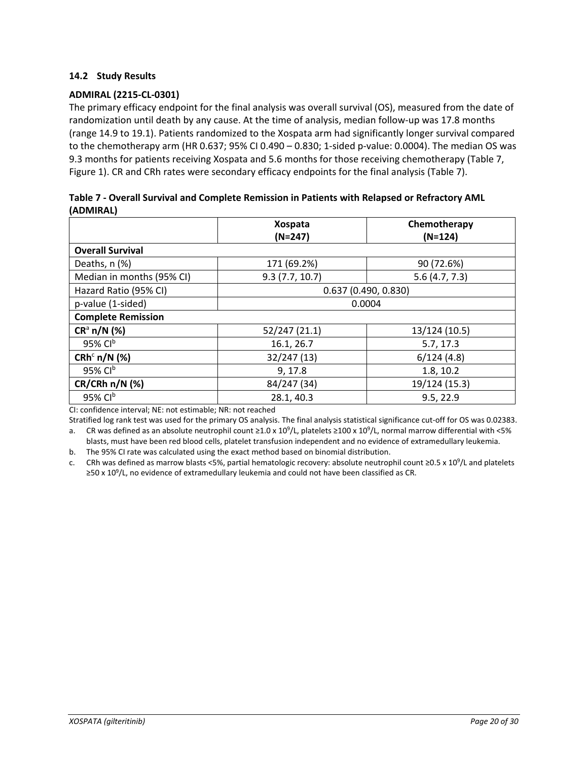## <span id="page-19-0"></span>**14.2 Study Results**

## **ADMIRAL (2215-CL-0301)**

The primary efficacy endpoint for the final analysis was overall survival (OS), measured from the date of randomization until death by any cause. At the time of analysis, median follow-up was 17.8 months (range 14.9 to 19.1). Patients randomized to the Xospata arm had significantly longer survival compared to the chemotherapy arm (HR 0.637; 95% CI 0.490 – 0.830; 1-sided p-value: 0.0004). The median OS was 9.3 months for patients receiving Xospata and 5.6 months for those receiving chemotherapy (Table 7, Figure 1). CR and CRh rates were secondary efficacy endpoints for the final analysis (Table 7).

| ,,,,,,,,,,,,,,            |                     |               |  |  |  |
|---------------------------|---------------------|---------------|--|--|--|
|                           | <b>Xospata</b>      | Chemotherapy  |  |  |  |
|                           | $(N=247)$           | $(N=124)$     |  |  |  |
| <b>Overall Survival</b>   |                     |               |  |  |  |
| Deaths, n (%)             | 171 (69.2%)         | 90 (72.6%)    |  |  |  |
| Median in months (95% CI) | 9.3(7.7, 10.7)      | 5.6(4.7, 7.3) |  |  |  |
| Hazard Ratio (95% CI)     | 0.637(0.490, 0.830) |               |  |  |  |
| p-value (1-sided)         | 0.0004              |               |  |  |  |
| <b>Complete Remission</b> |                     |               |  |  |  |
| $CR^a$ n/N (%)            | 52/247 (21.1)       | 13/124 (10.5) |  |  |  |
| 95% Clb                   | 16.1, 26.7          | 5.7, 17.3     |  |  |  |
| $CRhc n/N$ (%)            | 32/247 (13)         | 6/124(4.8)    |  |  |  |
| 95% $Clb$                 | 9, 17.8             | 1.8, 10.2     |  |  |  |
| $CR/CRh n/N$ (%)          | 84/247 (34)         | 19/124 (15.3) |  |  |  |
| 95% Cl <sup>b</sup>       | 28.1, 40.3          | 9.5, 22.9     |  |  |  |

| Table 7 - Overall Survival and Complete Remission in Patients with Relapsed or Refractory AML |  |
|-----------------------------------------------------------------------------------------------|--|
| (ADMIRAL)                                                                                     |  |

CI: confidence interval; NE: not estimable; NR: not reached

Stratified log rank test was used for the primary OS analysis. The final analysis statistical significance cut-off for OS was 0.02383.

a. CR was defined as an absolute neutrophil count  $\geq 1.0 \times 10^9$ /L, platelets  $\geq 100 \times 10^9$ /L, normal marrow differential with <5% blasts, must have been red blood cells, platelet transfusion independent and no evidence of extramedullary leukemia.

b. The 95% CI rate was calculated using the exact method based on binomial distribution.

c. CRh was defined as marrow blasts <5%, partial hematologic recovery: absolute neutrophil count ≥0.5 x 10<sup>9</sup>/L and platelets ≥50 x 10<sup>9</sup>/L, no evidence of extramedullary leukemia and could not have been classified as CR.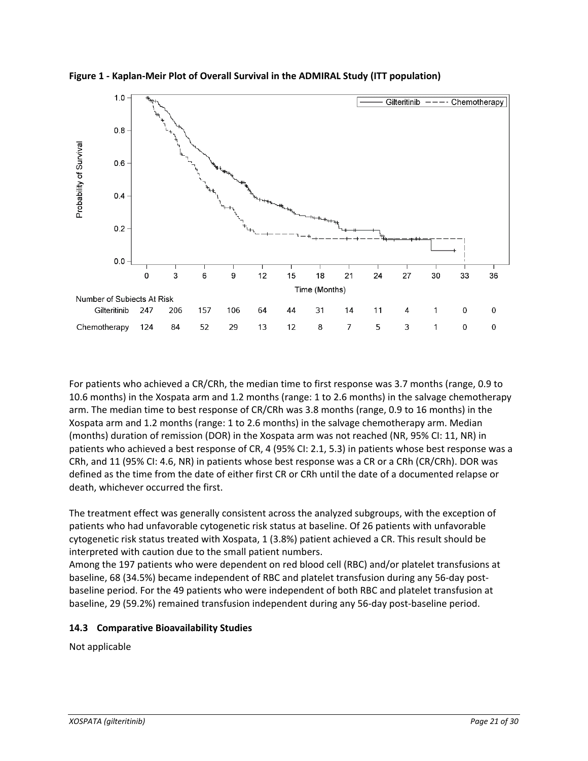

**Figure 1 - Kaplan-Meir Plot of Overall Survival in the ADMIRAL Study (ITT population)**

For patients who achieved a CR/CRh, the median time to first response was 3.7 months (range, 0.9 to 10.6 months) in the Xospata arm and 1.2 months (range: 1 to 2.6 months) in the salvage chemotherapy arm. The median time to best response of CR/CRh was 3.8 months (range, 0.9 to 16 months) in the Xospata arm and 1.2 months (range: 1 to 2.6 months) in the salvage chemotherapy arm. Median (months) duration of remission (DOR) in the Xospata arm was not reached (NR, 95% CI: 11, NR) in patients who achieved a best response of CR, 4 (95% CI: 2.1, 5.3) in patients whose best response was a CRh, and 11 (95% CI: 4.6, NR) in patients whose best response was a CR or a CRh (CR/CRh). DOR was defined as the time from the date of either first CR or CRh until the date of a documented relapse or death, whichever occurred the first.

The treatment effect was generally consistent across the analyzed subgroups, with the exception of patients who had unfavorable cytogenetic risk status at baseline. Of 26 patients with unfavorable cytogenetic risk status treated with Xospata, 1 (3.8%) patient achieved a CR. This result should be interpreted with caution due to the small patient numbers.

Among the 197 patients who were dependent on red blood cell (RBC) and/or platelet transfusions at baseline, 68 (34.5%) became independent of RBC and platelet transfusion during any 56-day postbaseline period. For the 49 patients who were independent of both RBC and platelet transfusion at baseline, 29 (59.2%) remained transfusion independent during any 56-day post-baseline period.

### <span id="page-20-0"></span>**14.3 Comparative Bioavailability Studies**

Not applicable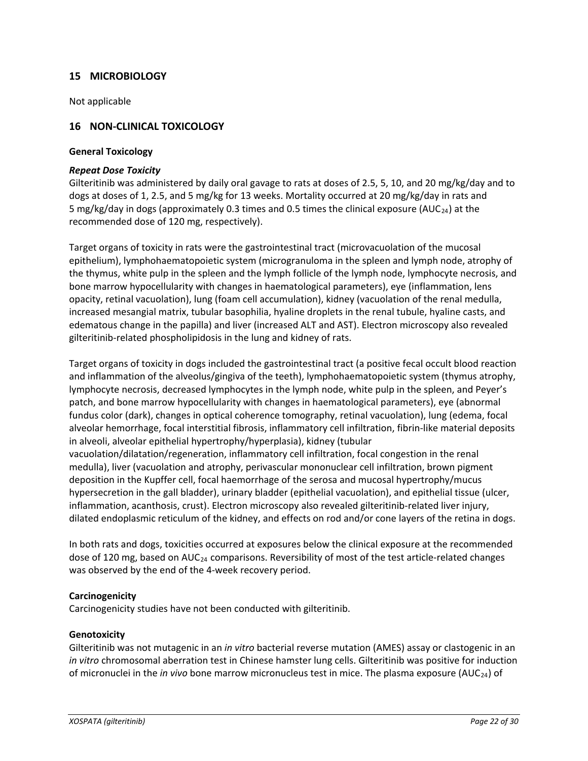# <span id="page-21-0"></span>**15 MICROBIOLOGY**

Not applicable

# <span id="page-21-1"></span>**16 NON-CLINICAL TOXICOLOGY**

#### **General Toxicology**

#### *Repeat Dose Toxicity*

Gilteritinib was administered by daily oral gavage to rats at doses of 2.5, 5, 10, and 20 mg/kg/day and to dogs at doses of 1, 2.5, and 5 mg/kg for 13 weeks. Mortality occurred at 20 mg/kg/day in rats and 5 mg/kg/day in dogs (approximately 0.3 times and 0.5 times the clinical exposure (AUC<sub>24</sub>) at the recommended dose of 120 mg, respectively).

Target organs of toxicity in rats were the gastrointestinal tract (microvacuolation of the mucosal epithelium), lymphohaematopoietic system (microgranuloma in the spleen and lymph node, atrophy of the thymus, white pulp in the spleen and the lymph follicle of the lymph node, lymphocyte necrosis, and bone marrow hypocellularity with changes in haematological parameters), eye (inflammation, lens opacity, retinal vacuolation), lung (foam cell accumulation), kidney (vacuolation of the renal medulla, increased mesangial matrix, tubular basophilia, hyaline droplets in the renal tubule, hyaline casts, and edematous change in the papilla) and liver (increased ALT and AST). Electron microscopy also revealed gilteritinib-related phospholipidosis in the lung and kidney of rats.

Target organs of toxicity in dogs included the gastrointestinal tract (a positive fecal occult blood reaction and inflammation of the alveolus/gingiva of the teeth), lymphohaematopoietic system (thymus atrophy, lymphocyte necrosis, decreased lymphocytes in the lymph node, white pulp in the spleen, and Peyer's patch, and bone marrow hypocellularity with changes in haematological parameters), eye (abnormal fundus color (dark), changes in optical coherence tomography, retinal vacuolation), lung (edema, focal alveolar hemorrhage, focal interstitial fibrosis, inflammatory cell infiltration, fibrin-like material deposits in alveoli, alveolar epithelial hypertrophy/hyperplasia), kidney (tubular vacuolation/dilatation/regeneration, inflammatory cell infiltration, focal congestion in the renal medulla), liver (vacuolation and atrophy, perivascular mononuclear cell infiltration, brown pigment

deposition in the Kupffer cell, focal haemorrhage of the serosa and mucosal hypertrophy/mucus hypersecretion in the gall bladder), urinary bladder (epithelial vacuolation), and epithelial tissue (ulcer, inflammation, acanthosis, crust). Electron microscopy also revealed gilteritinib-related liver injury, dilated endoplasmic reticulum of the kidney, and effects on rod and/or cone layers of the retina in dogs.

In both rats and dogs, toxicities occurred at exposures below the clinical exposure at the recommended dose of 120 mg, based on  $AUC_{24}$  comparisons. Reversibility of most of the test article-related changes was observed by the end of the 4-week recovery period.

### **Carcinogenicity**

Carcinogenicity studies have not been conducted with gilteritinib.

#### **Genotoxicity**

Gilteritinib was not mutagenic in an *in vitro* bacterial reverse mutation (AMES) assay or clastogenic in an *in vitro* chromosomal aberration test in Chinese hamster lung cells. Gilteritinib was positive for induction of micronuclei in the *in vivo* bone marrow micronucleus test in mice. The plasma exposure (AUC24) of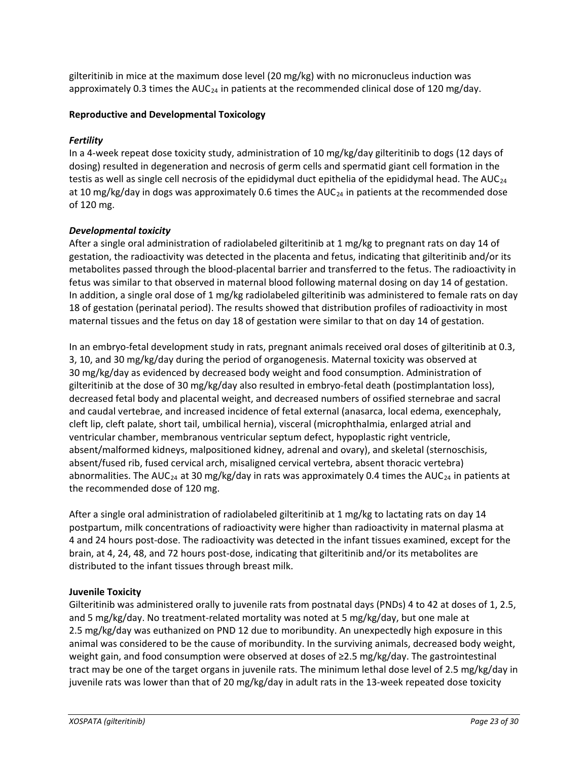gilteritinib in mice at the maximum dose level (20 mg/kg) with no micronucleus induction was approximately 0.3 times the AUC<sub>24</sub> in patients at the recommended clinical dose of 120 mg/day.

## **Reproductive and Developmental Toxicology**

## *Fertility*

In a 4-week repeat dose toxicity study, administration of 10 mg/kg/day gilteritinib to dogs (12 days of dosing) resulted in degeneration and necrosis of germ cells and spermatid giant cell formation in the testis as well as single cell necrosis of the epididymal duct epithelia of the epididymal head. The  $AUC_{24}$ at 10 mg/kg/day in dogs was approximately 0.6 times the  $AUC_{24}$  in patients at the recommended dose of 120 mg.

## *Developmental toxicity*

After a single oral administration of radiolabeled gilteritinib at 1 mg/kg to pregnant rats on day 14 of gestation, the radioactivity was detected in the placenta and fetus, indicating that gilteritinib and/or its metabolites passed through the blood-placental barrier and transferred to the fetus. The radioactivity in fetus was similar to that observed in maternal blood following maternal dosing on day 14 of gestation. In addition, a single oral dose of 1 mg/kg radiolabeled gilteritinib was administered to female rats on day 18 of gestation (perinatal period). The results showed that distribution profiles of radioactivity in most maternal tissues and the fetus on day 18 of gestation were similar to that on day 14 of gestation.

In an embryo-fetal development study in rats, pregnant animals received oral doses of gilteritinib at 0.3, 3, 10, and 30 mg/kg/day during the period of organogenesis. Maternal toxicity was observed at 30 mg/kg/day as evidenced by decreased body weight and food consumption. Administration of gilteritinib at the dose of 30 mg/kg/day also resulted in embryo-fetal death (postimplantation loss), decreased fetal body and placental weight, and decreased numbers of ossified sternebrae and sacral and caudal vertebrae, and increased incidence of fetal external (anasarca, local edema, exencephaly, cleft lip, cleft palate, short tail, umbilical hernia), visceral (microphthalmia, enlarged atrial and ventricular chamber, membranous ventricular septum defect, hypoplastic right ventricle, absent/malformed kidneys, malpositioned kidney, adrenal and ovary), and skeletal (sternoschisis, absent/fused rib, fused cervical arch, misaligned cervical vertebra, absent thoracic vertebra) abnormalities. The AUC<sub>24</sub> at 30 mg/kg/day in rats was approximately 0.4 times the AUC<sub>24</sub> in patients at the recommended dose of 120 mg.

After a single oral administration of radiolabeled gilteritinib at 1 mg/kg to lactating rats on day 14 postpartum, milk concentrations of radioactivity were higher than radioactivity in maternal plasma at 4 and 24 hours post-dose. The radioactivity was detected in the infant tissues examined, except for the brain, at 4, 24, 48, and 72 hours post-dose, indicating that gilteritinib and/or its metabolites are distributed to the infant tissues through breast milk.

# **Juvenile Toxicity**

Gilteritinib was administered orally to juvenile rats from postnatal days (PNDs) 4 to 42 at doses of 1, 2.5, and 5 mg/kg/day. No treatment-related mortality was noted at 5 mg/kg/day, but one male at 2.5 mg/kg/day was euthanized on PND 12 due to moribundity. An unexpectedly high exposure in this animal was considered to be the cause of moribundity. In the surviving animals, decreased body weight, weight gain, and food consumption were observed at doses of ≥2.5 mg/kg/day. The gastrointestinal tract may be one of the target organs in juvenile rats. The minimum lethal dose level of 2.5 mg/kg/day in juvenile rats was lower than that of 20 mg/kg/day in adult rats in the 13-week repeated dose toxicity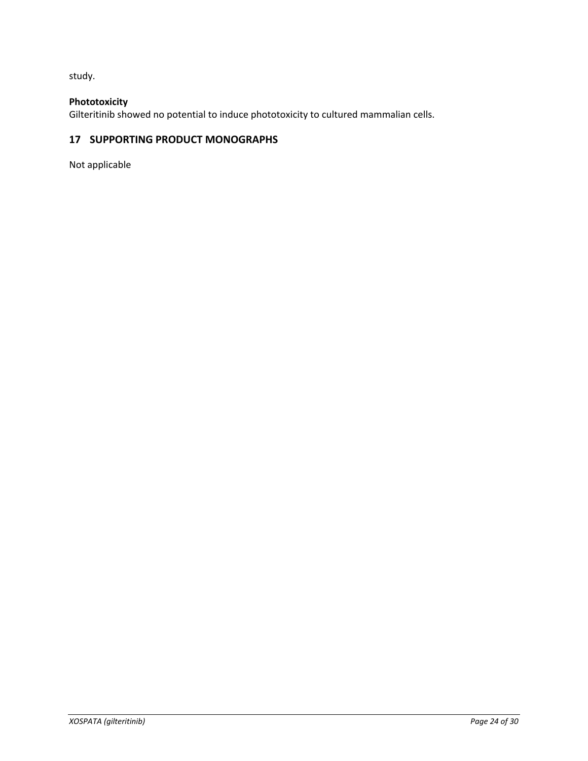study.

# **Phototoxicity**

Gilteritinib showed no potential to induce phototoxicity to cultured mammalian cells.

# <span id="page-23-0"></span>**17 SUPPORTING PRODUCT MONOGRAPHS**

Not applicable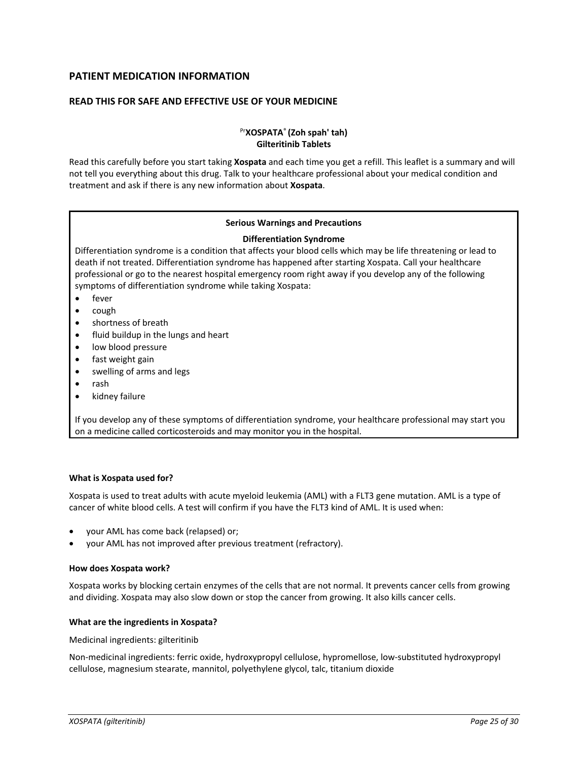## <span id="page-24-0"></span>**PATIENT MEDICATION INFORMATION**

#### **READ THIS FOR SAFE AND EFFECTIVE USE OF YOUR MEDICINE**

#### Pr**XOSPATA**® **(Zoh spah' tah) Gilteritinib Tablets**

Read this carefully before you start taking **Xospata** and each time you get a refill. This leaflet is a summary and will not tell you everything about this drug. Talk to your healthcare professional about your medical condition and treatment and ask if there is any new information about **Xospata**.

#### **Serious Warnings and Precautions**

#### **Differentiation Syndrome**

Differentiation syndrome is a condition that affects your blood cells which may be life threatening or lead to death if not treated. Differentiation syndrome has happened after starting Xospata. Call your healthcare professional or go to the nearest hospital emergency room right away if you develop any of the following symptoms of differentiation syndrome while taking Xospata:

- fever
- cough
- shortness of breath
- fluid buildup in the lungs and heart
- low blood pressure
- fast weight gain
- swelling of arms and legs
- rash
- kidney failure

If you develop any of these symptoms of differentiation syndrome, your healthcare professional may start you on a medicine called corticosteroids and may monitor you in the hospital.

#### **What is Xospata used for?**

Xospata is used to treat adults with acute myeloid leukemia (AML) with a FLT3 gene mutation. AML is a type of cancer of white blood cells. A test will confirm if you have the FLT3 kind of AML. It is used when:

- your AML has come back (relapsed) or;
- your AML has not improved after previous treatment (refractory).

#### **How does Xospata work?**

Xospata works by blocking certain enzymes of the cells that are not normal. It prevents cancer cells from growing and dividing. Xospata may also slow down or stop the cancer from growing. It also kills cancer cells.

#### **What are the ingredients in Xospata?**

Medicinal ingredients: gilteritinib

Non-medicinal ingredients: ferric oxide, hydroxypropyl cellulose, hypromellose, low-substituted hydroxypropyl cellulose, magnesium stearate, mannitol, polyethylene glycol, talc, titanium dioxide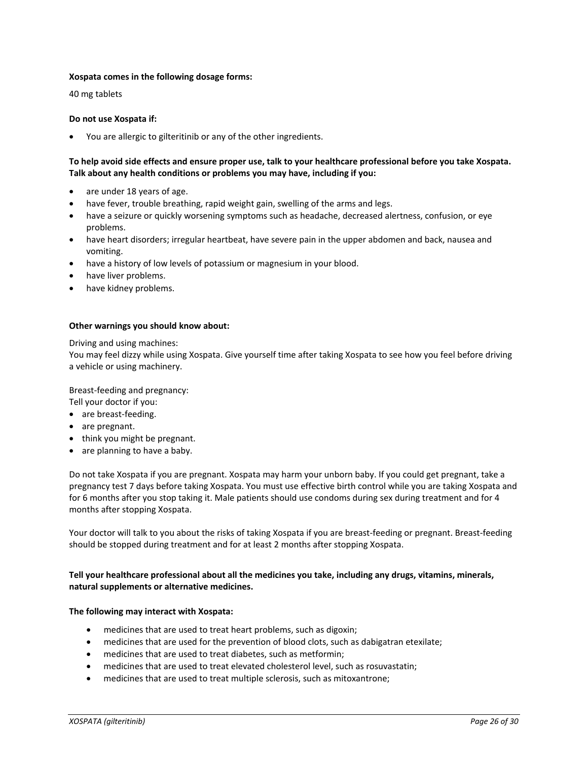#### **Xospata comes in the following dosage forms:**

40 mg tablets

#### **Do not use Xospata if:**

• You are allergic to gilteritinib or any of the other ingredients.

#### **To help avoid side effects and ensure proper use, talk to your healthcare professional before you take Xospata. Talk about any health conditions or problems you may have, including if you:**

- are under 18 years of age.
- have fever, trouble breathing, rapid weight gain, swelling of the arms and legs.
- have a seizure or quickly worsening symptoms such as headache, decreased alertness, confusion, or eye problems.
- have heart disorders; irregular heartbeat, have severe pain in the upper abdomen and back, nausea and vomiting.
- have a history of low levels of potassium or magnesium in your blood.
- have liver problems.
- have kidney problems.

#### **Other warnings you should know about:**

Driving and using machines:

You may feel dizzy while using Xospata. Give yourself time after taking Xospata to see how you feel before driving a vehicle or using machinery.

Breast-feeding and pregnancy:

Tell your doctor if you:

- are breast-feeding.
- are pregnant.
- think you might be pregnant.
- are planning to have a baby.

Do not take Xospata if you are pregnant. Xospata may harm your unborn baby. If you could get pregnant, take a pregnancy test 7 days before taking Xospata. You must use effective birth control while you are taking Xospata and for 6 months after you stop taking it. Male patients should use condoms during sex during treatment and for 4 months after stopping Xospata.

Your doctor will talk to you about the risks of taking Xospata if you are breast-feeding or pregnant. Breast-feeding should be stopped during treatment and for at least 2 months after stopping Xospata.

#### **Tell your healthcare professional about all the medicines you take, including any drugs, vitamins, minerals, natural supplements or alternative medicines.**

#### **The following may interact with Xospata:**

- medicines that are used to treat heart problems, such as digoxin;
- medicines that are used for the prevention of blood clots, such as dabigatran etexilate;
- medicines that are used to treat diabetes, such as metformin;
- medicines that are used to treat elevated cholesterol level, such as rosuvastatin;
- medicines that are used to treat multiple sclerosis, such as mitoxantrone;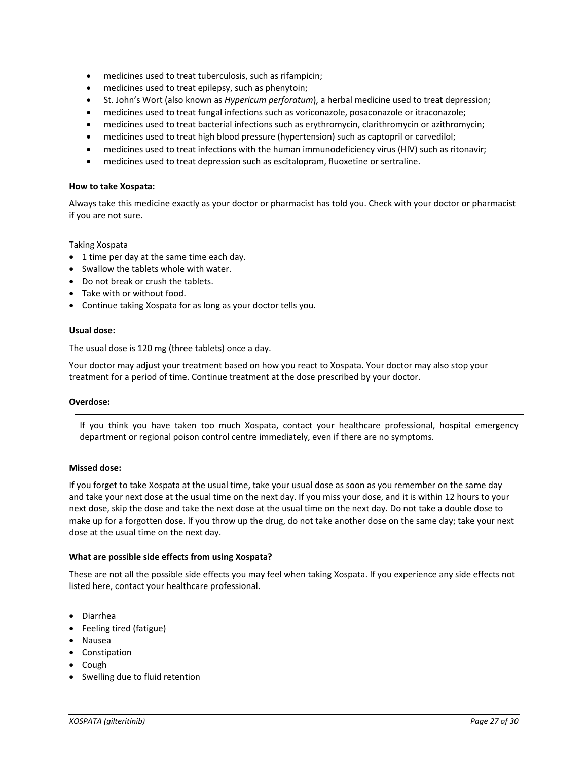- medicines used to treat tuberculosis, such as rifampicin;
- medicines used to treat epilepsy, such as phenytoin;
- St. John's Wort (also known as *Hypericum perforatum*), a herbal medicine used to treat depression;
- medicines used to treat fungal infections such as voriconazole, posaconazole or itraconazole;
- medicines used to treat bacterial infections such as erythromycin, clarithromycin or azithromycin;
- medicines used to treat high blood pressure (hypertension) such as captopril or carvedilol;
- medicines used to treat infections with the human immunodeficiency virus (HIV) such as ritonavir;
- medicines used to treat depression such as escitalopram, fluoxetine or sertraline.

#### **How to take Xospata:**

Always take this medicine exactly as your doctor or pharmacist has told you. Check with your doctor or pharmacist if you are not sure.

#### Taking Xospata

- 1 time per day at the same time each day.
- Swallow the tablets whole with water.
- Do not break or crush the tablets.
- Take with or without food.
- Continue taking Xospata for as long as your doctor tells you.

#### **Usual dose:**

The usual dose is 120 mg (three tablets) once a day.

Your doctor may adjust your treatment based on how you react to Xospata. Your doctor may also stop your treatment for a period of time. Continue treatment at the dose prescribed by your doctor.

#### **Overdose:**

If you think you have taken too much Xospata, contact your healthcare professional, hospital emergency department or regional poison control centre immediately, even if there are no symptoms.

#### **Missed dose:**

If you forget to take Xospata at the usual time, take your usual dose as soon as you remember on the same day and take your next dose at the usual time on the next day. If you miss your dose, and it is within 12 hours to your next dose, skip the dose and take the next dose at the usual time on the next day. Do not take a double dose to make up for a forgotten dose. If you throw up the drug, do not take another dose on the same day; take your next dose at the usual time on the next day.

#### **What are possible side effects from using Xospata?**

These are not all the possible side effects you may feel when taking Xospata. If you experience any side effects not listed here, contact your healthcare professional.

- Diarrhea
- Feeling tired (fatigue)
- Nausea
- Constipation
- Cough
- Swelling due to fluid retention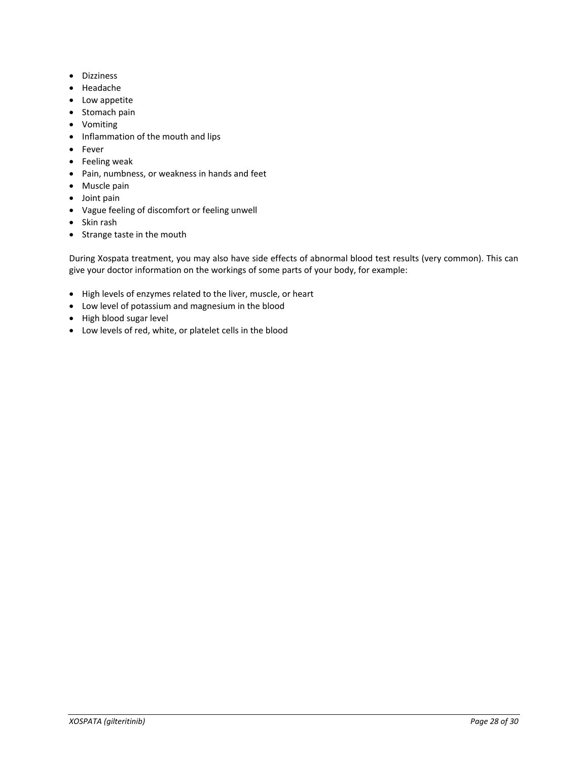- Dizziness
- Headache
- Low appetite
- Stomach pain
- Vomiting
- Inflammation of the mouth and lips
- Fever
- Feeling weak
- Pain, numbness, or weakness in hands and feet
- Muscle pain
- Joint pain
- Vague feeling of discomfort or feeling unwell
- Skin rash
- Strange taste in the mouth

During Xospata treatment, you may also have side effects of abnormal blood test results (very common). This can give your doctor information on the workings of some parts of your body, for example:

- High levels of enzymes related to the liver, muscle, or heart
- Low level of potassium and magnesium in the blood
- High blood sugar level
- Low levels of red, white, or platelet cells in the blood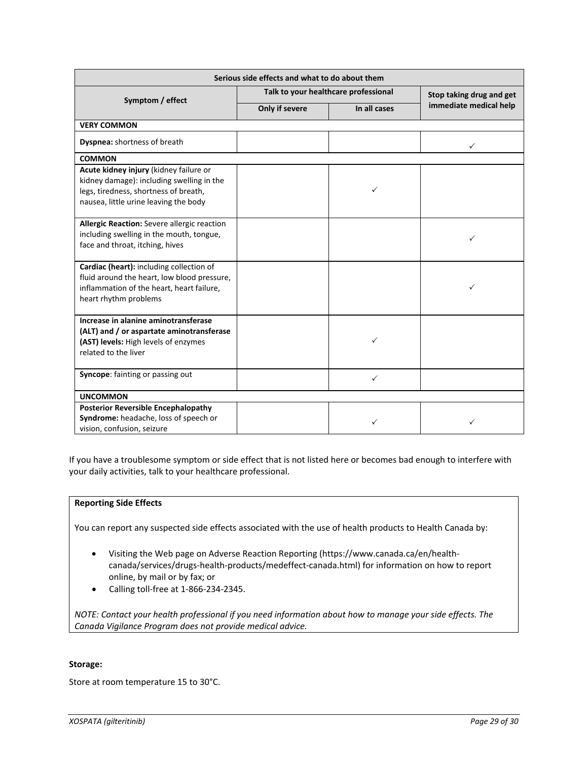| Serious side effects and what to do about them                                                                                                                        |                                      |              |                          |  |
|-----------------------------------------------------------------------------------------------------------------------------------------------------------------------|--------------------------------------|--------------|--------------------------|--|
| Symptom / effect                                                                                                                                                      | Talk to your healthcare professional |              | Stop taking drug and get |  |
|                                                                                                                                                                       | Only if severe                       | In all cases | immediate medical help   |  |
| <b>VERY COMMON</b>                                                                                                                                                    |                                      |              |                          |  |
| <b>Dyspnea:</b> shortness of breath                                                                                                                                   |                                      |              |                          |  |
| <b>COMMON</b>                                                                                                                                                         |                                      |              |                          |  |
| Acute kidney injury (kidney failure or<br>kidney damage): including swelling in the<br>legs, tiredness, shortness of breath,<br>nausea, little urine leaving the body |                                      | ✓            |                          |  |
| Allergic Reaction: Severe allergic reaction<br>including swelling in the mouth, tongue,<br>face and throat, itching, hives                                            |                                      |              | ✓                        |  |
| Cardiac (heart): including collection of<br>fluid around the heart, low blood pressure,<br>inflammation of the heart, heart failure,<br>heart rhythm problems         |                                      |              | ✓                        |  |
| Increase in alanine aminotransferase<br>(ALT) and / or aspartate aminotransferase<br>(AST) levels: High levels of enzymes<br>related to the liver                     |                                      |              |                          |  |
| Syncope: fainting or passing out                                                                                                                                      |                                      | ✓            |                          |  |
| <b>UNCOMMON</b>                                                                                                                                                       |                                      |              |                          |  |
| <b>Posterior Reversible Encephalopathy</b><br>Syndrome: headache, loss of speech or<br>vision, confusion, seizure                                                     |                                      | ✓            |                          |  |

If you have a troublesome symptom or side effect that is not listed here or becomes bad enough to interfere with your daily activities, talk to your healthcare professional.

#### **Reporting Side Effects**

You can report any suspected side effects associated with the use of health products to Health Canada by:

- Visiting the Web page on Adverse Reaction Reporting (https://www.canada.ca/en/healthcanada/services/drugs-health-products/medeffect-canada.html) for information on how to report online, by mail or by fax; or
- Calling toll-free at 1-866-234-2345.

*NOTE: Contact your health professional if you need information about how to manage your side effects. The Canada Vigilance Program does not provide medical advice.*

#### **Storage:**

Store at room temperature 15 to 30°C.